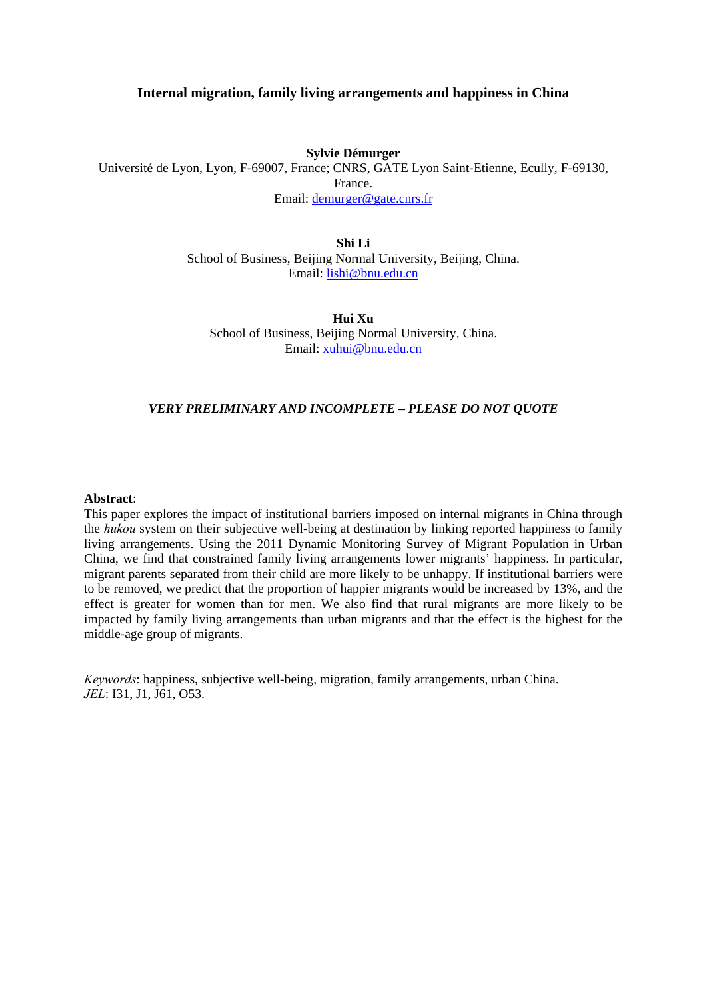# **Internal migration, family living arrangements and happiness in China**

### **Sylvie Démurger**

Université de Lyon, Lyon, F-69007, France; CNRS, GATE Lyon Saint-Etienne, Ecully, F-69130, France.

Email: demurger@gate.cnrs.fr

**Shi Li** 

School of Business, Beijing Normal University, Beijing, China. Email: lishi@bnu.edu.cn

**Hui Xu**  School of Business, Beijing Normal University, China. Email: xuhui@bnu.edu.cn

## *VERY PRELIMINARY AND INCOMPLETE – PLEASE DO NOT QUOTE*

### **Abstract**:

This paper explores the impact of institutional barriers imposed on internal migrants in China through the *hukou* system on their subjective well-being at destination by linking reported happiness to family living arrangements. Using the 2011 Dynamic Monitoring Survey of Migrant Population in Urban China, we find that constrained family living arrangements lower migrants' happiness. In particular, migrant parents separated from their child are more likely to be unhappy. If institutional barriers were to be removed, we predict that the proportion of happier migrants would be increased by 13%, and the effect is greater for women than for men. We also find that rural migrants are more likely to be impacted by family living arrangements than urban migrants and that the effect is the highest for the middle-age group of migrants.

*Keywords*: happiness, subjective well-being, migration, family arrangements, urban China. *JEL*: I31, J1, J61, O53.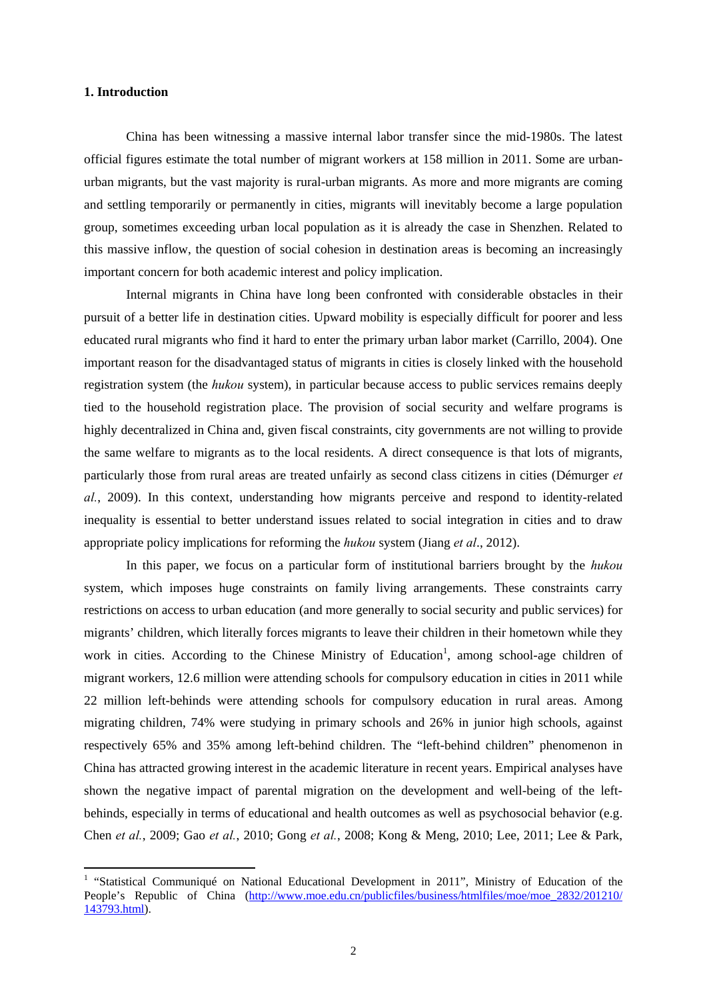## **1. Introduction**

-

China has been witnessing a massive internal labor transfer since the mid-1980s. The latest official figures estimate the total number of migrant workers at 158 million in 2011. Some are urbanurban migrants, but the vast majority is rural-urban migrants. As more and more migrants are coming and settling temporarily or permanently in cities, migrants will inevitably become a large population group, sometimes exceeding urban local population as it is already the case in Shenzhen. Related to this massive inflow, the question of social cohesion in destination areas is becoming an increasingly important concern for both academic interest and policy implication.

Internal migrants in China have long been confronted with considerable obstacles in their pursuit of a better life in destination cities. Upward mobility is especially difficult for poorer and less educated rural migrants who find it hard to enter the primary urban labor market (Carrillo, 2004). One important reason for the disadvantaged status of migrants in cities is closely linked with the household registration system (the *hukou* system), in particular because access to public services remains deeply tied to the household registration place. The provision of social security and welfare programs is highly decentralized in China and, given fiscal constraints, city governments are not willing to provide the same welfare to migrants as to the local residents. A direct consequence is that lots of migrants, particularly those from rural areas are treated unfairly as second class citizens in cities (Démurger *et al.*, 2009). In this context, understanding how migrants perceive and respond to identity-related inequality is essential to better understand issues related to social integration in cities and to draw appropriate policy implications for reforming the *hukou* system (Jiang *et al*., 2012).

In this paper, we focus on a particular form of institutional barriers brought by the *hukou* system, which imposes huge constraints on family living arrangements. These constraints carry restrictions on access to urban education (and more generally to social security and public services) for migrants' children, which literally forces migrants to leave their children in their hometown while they work in cities. According to the Chinese Ministry of Education<sup>1</sup>, among school-age children of migrant workers, 12.6 million were attending schools for compulsory education in cities in 2011 while 22 million left-behinds were attending schools for compulsory education in rural areas. Among migrating children, 74% were studying in primary schools and 26% in junior high schools, against respectively 65% and 35% among left-behind children. The "left-behind children" phenomenon in China has attracted growing interest in the academic literature in recent years. Empirical analyses have shown the negative impact of parental migration on the development and well-being of the leftbehinds, especially in terms of educational and health outcomes as well as psychosocial behavior (e.g. Chen *et al.*, 2009; Gao *et al.*, 2010; Gong *et al.*, 2008; Kong & Meng, 2010; Lee, 2011; Lee & Park,

<sup>&</sup>lt;sup>1</sup> "Statistical Communiqué on National Educational Development in 2011", Ministry of Education of the People's Republic of China (http://www.moe.edu.cn/publicfiles/business/htmlfiles/moe/moe\_2832/201210/ 143793.html).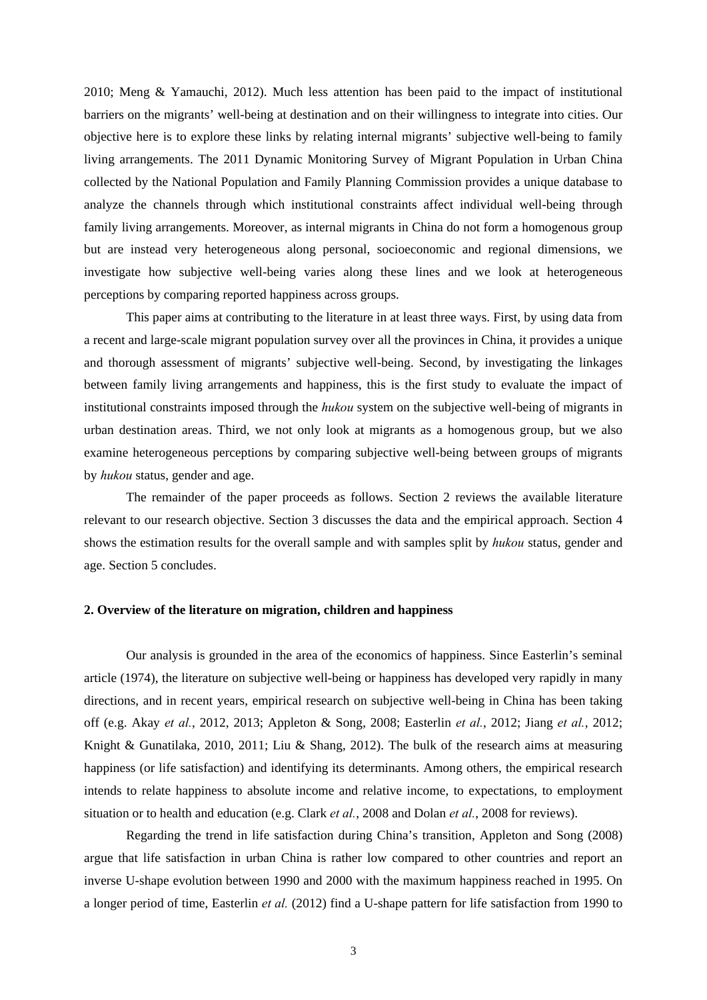2010; Meng & Yamauchi, 2012). Much less attention has been paid to the impact of institutional barriers on the migrants' well-being at destination and on their willingness to integrate into cities. Our objective here is to explore these links by relating internal migrants' subjective well-being to family living arrangements. The 2011 Dynamic Monitoring Survey of Migrant Population in Urban China collected by the National Population and Family Planning Commission provides a unique database to analyze the channels through which institutional constraints affect individual well-being through family living arrangements. Moreover, as internal migrants in China do not form a homogenous group but are instead very heterogeneous along personal, socioeconomic and regional dimensions, we investigate how subjective well-being varies along these lines and we look at heterogeneous perceptions by comparing reported happiness across groups.

This paper aims at contributing to the literature in at least three ways. First, by using data from a recent and large-scale migrant population survey over all the provinces in China, it provides a unique and thorough assessment of migrants' subjective well-being. Second, by investigating the linkages between family living arrangements and happiness, this is the first study to evaluate the impact of institutional constraints imposed through the *hukou* system on the subjective well-being of migrants in urban destination areas. Third, we not only look at migrants as a homogenous group, but we also examine heterogeneous perceptions by comparing subjective well-being between groups of migrants by *hukou* status, gender and age.

The remainder of the paper proceeds as follows. Section 2 reviews the available literature relevant to our research objective. Section 3 discusses the data and the empirical approach. Section 4 shows the estimation results for the overall sample and with samples split by *hukou* status, gender and age. Section 5 concludes.

#### **2. Overview of the literature on migration, children and happiness**

Our analysis is grounded in the area of the economics of happiness. Since Easterlin's seminal article (1974), the literature on subjective well-being or happiness has developed very rapidly in many directions, and in recent years, empirical research on subjective well-being in China has been taking off (e.g. Akay *et al.*, 2012, 2013; Appleton & Song, 2008; Easterlin *et al.*, 2012; Jiang *et al.*, 2012; Knight & Gunatilaka, 2010, 2011; Liu & Shang, 2012). The bulk of the research aims at measuring happiness (or life satisfaction) and identifying its determinants. Among others, the empirical research intends to relate happiness to absolute income and relative income, to expectations, to employment situation or to health and education (e.g. Clark *et al.*, 2008 and Dolan *et al.*, 2008 for reviews).

Regarding the trend in life satisfaction during China's transition, Appleton and Song (2008) argue that life satisfaction in urban China is rather low compared to other countries and report an inverse U-shape evolution between 1990 and 2000 with the maximum happiness reached in 1995. On a longer period of time, Easterlin *et al.* (2012) find a U-shape pattern for life satisfaction from 1990 to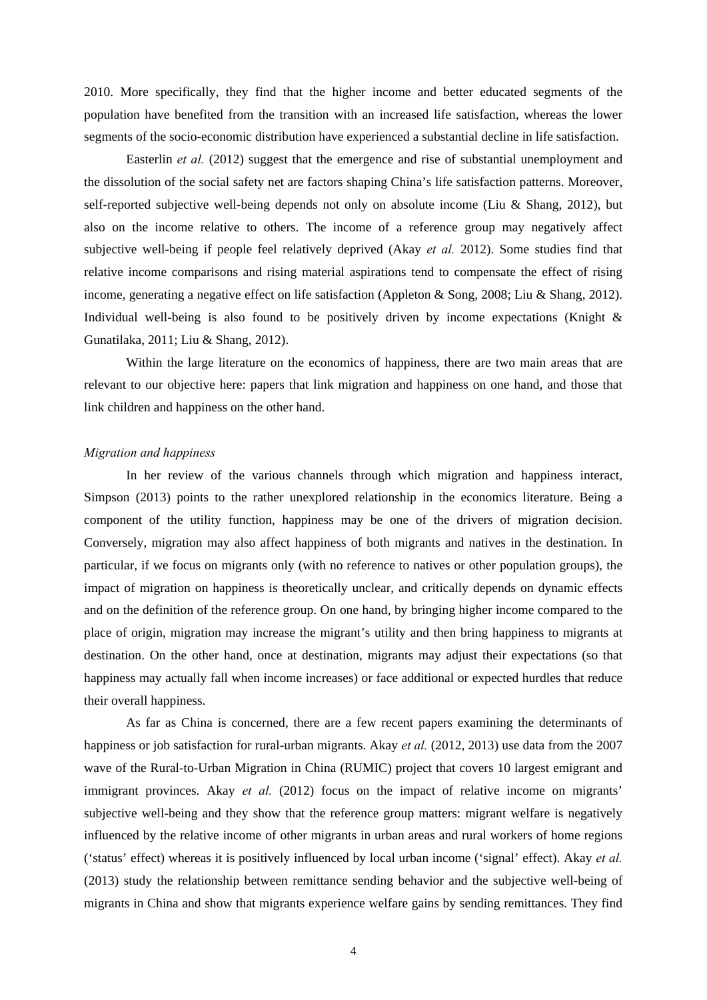2010. More specifically, they find that the higher income and better educated segments of the population have benefited from the transition with an increased life satisfaction, whereas the lower segments of the socio-economic distribution have experienced a substantial decline in life satisfaction.

Easterlin *et al.* (2012) suggest that the emergence and rise of substantial unemployment and the dissolution of the social safety net are factors shaping China's life satisfaction patterns. Moreover, self-reported subjective well-being depends not only on absolute income (Liu & Shang, 2012), but also on the income relative to others. The income of a reference group may negatively affect subjective well-being if people feel relatively deprived (Akay *et al.* 2012). Some studies find that relative income comparisons and rising material aspirations tend to compensate the effect of rising income, generating a negative effect on life satisfaction (Appleton & Song, 2008; Liu & Shang, 2012). Individual well-being is also found to be positively driven by income expectations (Knight & Gunatilaka, 2011; Liu & Shang, 2012).

Within the large literature on the economics of happiness, there are two main areas that are relevant to our objective here: papers that link migration and happiness on one hand, and those that link children and happiness on the other hand.

### *Migration and happiness*

In her review of the various channels through which migration and happiness interact, Simpson (2013) points to the rather unexplored relationship in the economics literature. Being a component of the utility function, happiness may be one of the drivers of migration decision. Conversely, migration may also affect happiness of both migrants and natives in the destination. In particular, if we focus on migrants only (with no reference to natives or other population groups), the impact of migration on happiness is theoretically unclear, and critically depends on dynamic effects and on the definition of the reference group. On one hand, by bringing higher income compared to the place of origin, migration may increase the migrant's utility and then bring happiness to migrants at destination. On the other hand, once at destination, migrants may adjust their expectations (so that happiness may actually fall when income increases) or face additional or expected hurdles that reduce their overall happiness.

As far as China is concerned, there are a few recent papers examining the determinants of happiness or job satisfaction for rural-urban migrants. Akay *et al.* (2012, 2013) use data from the 2007 wave of the Rural-to-Urban Migration in China (RUMIC) project that covers 10 largest emigrant and immigrant provinces. Akay *et al.* (2012) focus on the impact of relative income on migrants' subjective well-being and they show that the reference group matters: migrant welfare is negatively influenced by the relative income of other migrants in urban areas and rural workers of home regions ('status' effect) whereas it is positively influenced by local urban income ('signal' effect). Akay *et al.* (2013) study the relationship between remittance sending behavior and the subjective well-being of migrants in China and show that migrants experience welfare gains by sending remittances. They find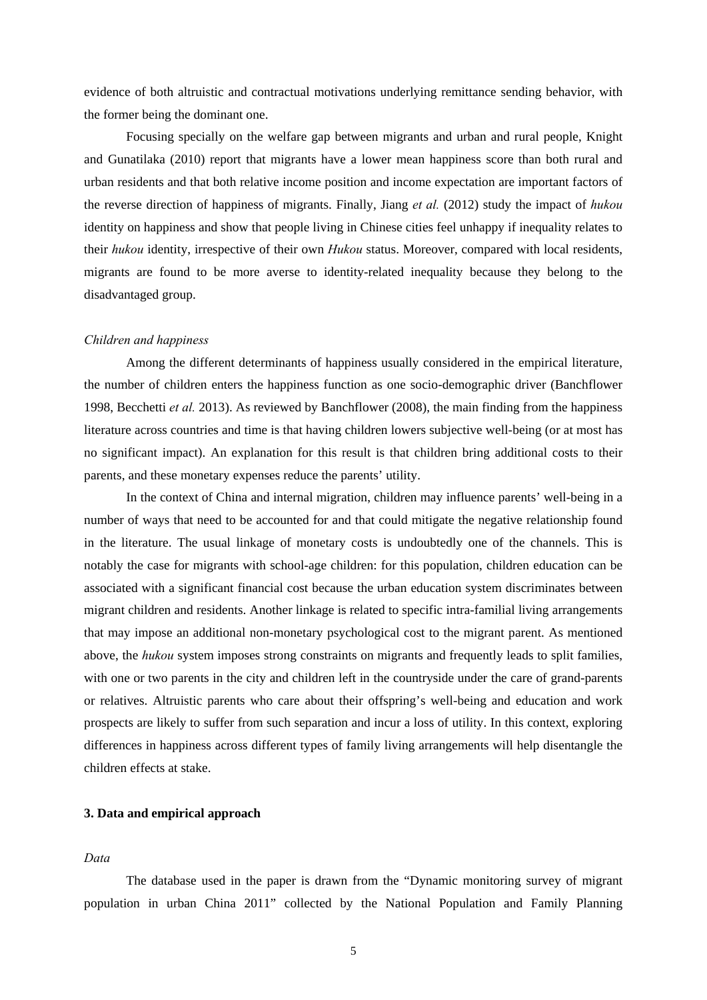evidence of both altruistic and contractual motivations underlying remittance sending behavior, with the former being the dominant one.

Focusing specially on the welfare gap between migrants and urban and rural people, Knight and Gunatilaka (2010) report that migrants have a lower mean happiness score than both rural and urban residents and that both relative income position and income expectation are important factors of the reverse direction of happiness of migrants. Finally, Jiang *et al.* (2012) study the impact of *hukou* identity on happiness and show that people living in Chinese cities feel unhappy if inequality relates to their *hukou* identity, irrespective of their own *Hukou* status. Moreover, compared with local residents, migrants are found to be more averse to identity-related inequality because they belong to the disadvantaged group.

### *Children and happiness*

 Among the different determinants of happiness usually considered in the empirical literature, the number of children enters the happiness function as one socio-demographic driver (Banchflower 1998, Becchetti *et al.* 2013). As reviewed by Banchflower (2008), the main finding from the happiness literature across countries and time is that having children lowers subjective well-being (or at most has no significant impact). An explanation for this result is that children bring additional costs to their parents, and these monetary expenses reduce the parents' utility.

 In the context of China and internal migration, children may influence parents' well-being in a number of ways that need to be accounted for and that could mitigate the negative relationship found in the literature. The usual linkage of monetary costs is undoubtedly one of the channels. This is notably the case for migrants with school-age children: for this population, children education can be associated with a significant financial cost because the urban education system discriminates between migrant children and residents. Another linkage is related to specific intra-familial living arrangements that may impose an additional non-monetary psychological cost to the migrant parent. As mentioned above, the *hukou* system imposes strong constraints on migrants and frequently leads to split families, with one or two parents in the city and children left in the countryside under the care of grand-parents or relatives. Altruistic parents who care about their offspring's well-being and education and work prospects are likely to suffer from such separation and incur a loss of utility. In this context, exploring differences in happiness across different types of family living arrangements will help disentangle the children effects at stake.

# **3. Data and empirical approach**

## *Data*

The database used in the paper is drawn from the "Dynamic monitoring survey of migrant population in urban China 2011" collected by the National Population and Family Planning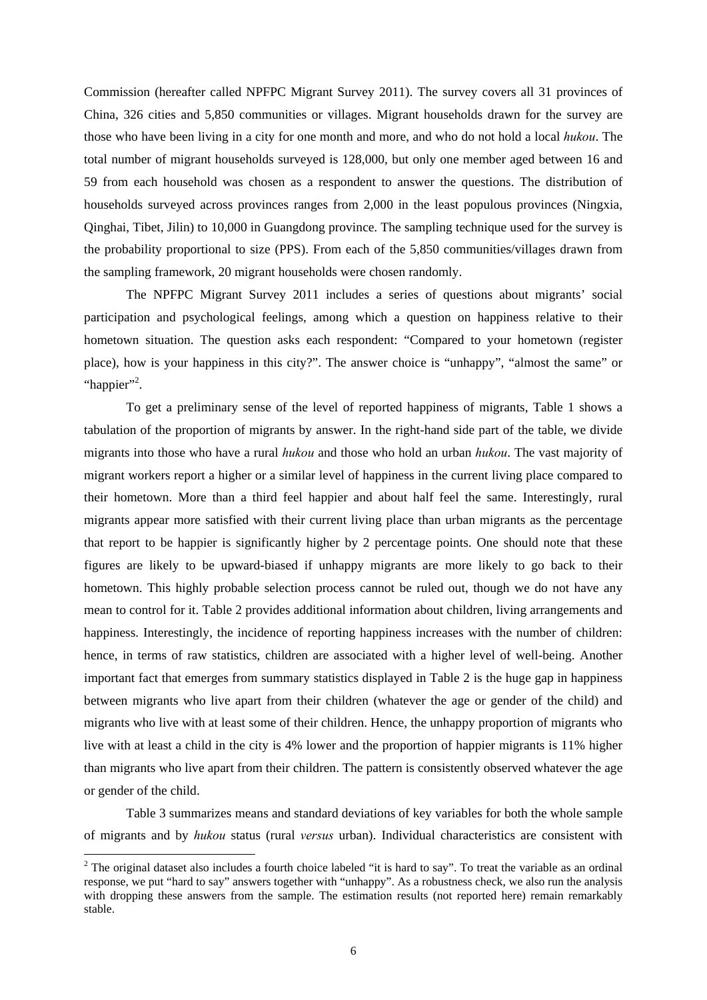Commission (hereafter called NPFPC Migrant Survey 2011). The survey covers all 31 provinces of China, 326 cities and 5,850 communities or villages. Migrant households drawn for the survey are those who have been living in a city for one month and more, and who do not hold a local *hukou*. The total number of migrant households surveyed is 128,000, but only one member aged between 16 and 59 from each household was chosen as a respondent to answer the questions. The distribution of households surveyed across provinces ranges from 2,000 in the least populous provinces (Ningxia, Qinghai, Tibet, Jilin) to 10,000 in Guangdong province. The sampling technique used for the survey is the probability proportional to size (PPS). From each of the 5,850 communities/villages drawn from the sampling framework, 20 migrant households were chosen randomly.

The NPFPC Migrant Survey 2011 includes a series of questions about migrants' social participation and psychological feelings, among which a question on happiness relative to their hometown situation. The question asks each respondent: "Compared to your hometown (register place), how is your happiness in this city?". The answer choice is "unhappy", "almost the same" or "happier"<sup>2</sup>.

To get a preliminary sense of the level of reported happiness of migrants, Table 1 shows a tabulation of the proportion of migrants by answer. In the right-hand side part of the table, we divide migrants into those who have a rural *hukou* and those who hold an urban *hukou*. The vast majority of migrant workers report a higher or a similar level of happiness in the current living place compared to their hometown. More than a third feel happier and about half feel the same. Interestingly, rural migrants appear more satisfied with their current living place than urban migrants as the percentage that report to be happier is significantly higher by 2 percentage points. One should note that these figures are likely to be upward-biased if unhappy migrants are more likely to go back to their hometown. This highly probable selection process cannot be ruled out, though we do not have any mean to control for it. Table 2 provides additional information about children, living arrangements and happiness. Interestingly, the incidence of reporting happiness increases with the number of children: hence, in terms of raw statistics, children are associated with a higher level of well-being. Another important fact that emerges from summary statistics displayed in Table 2 is the huge gap in happiness between migrants who live apart from their children (whatever the age or gender of the child) and migrants who live with at least some of their children. Hence, the unhappy proportion of migrants who live with at least a child in the city is 4% lower and the proportion of happier migrants is 11% higher than migrants who live apart from their children. The pattern is consistently observed whatever the age or gender of the child.

Table 3 summarizes means and standard deviations of key variables for both the whole sample of migrants and by *hukou* status (rural *versus* urban). Individual characteristics are consistent with

-

<sup>&</sup>lt;sup>2</sup> The original dataset also includes a fourth choice labeled "it is hard to say". To treat the variable as an ordinal response, we put "hard to say" answers together with "unhappy". As a robustness check, we also run the analysis with dropping these answers from the sample. The estimation results (not reported here) remain remarkably stable.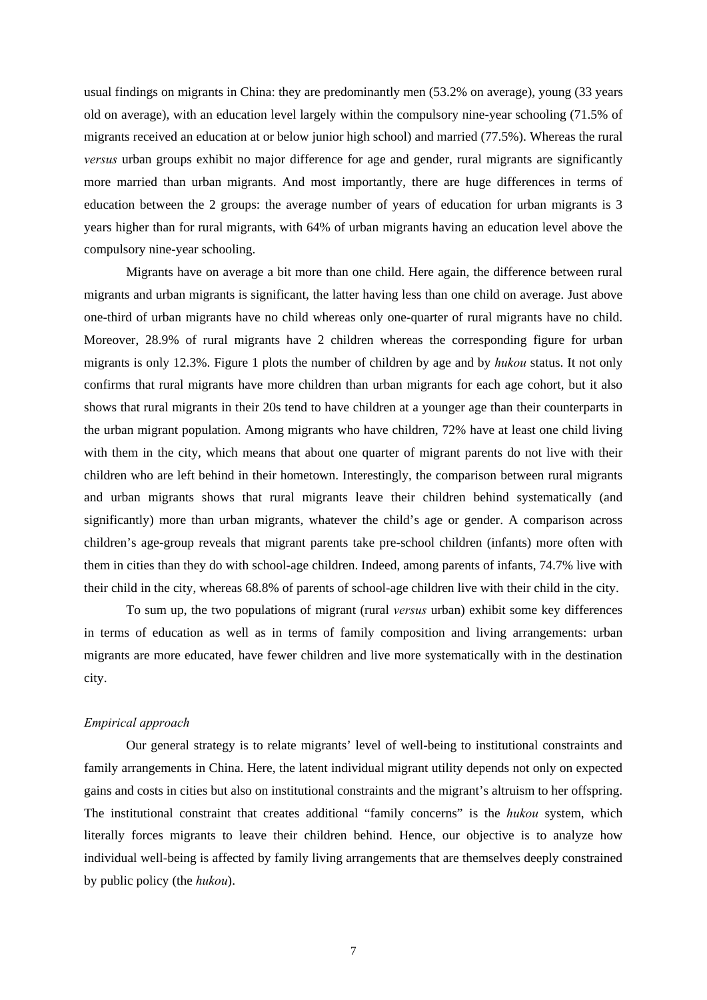usual findings on migrants in China: they are predominantly men (53.2% on average), young (33 years old on average), with an education level largely within the compulsory nine-year schooling (71.5% of migrants received an education at or below junior high school) and married (77.5%). Whereas the rural *versus* urban groups exhibit no major difference for age and gender, rural migrants are significantly more married than urban migrants. And most importantly, there are huge differences in terms of education between the 2 groups: the average number of years of education for urban migrants is 3 years higher than for rural migrants, with 64% of urban migrants having an education level above the compulsory nine-year schooling.

Migrants have on average a bit more than one child. Here again, the difference between rural migrants and urban migrants is significant, the latter having less than one child on average. Just above one-third of urban migrants have no child whereas only one-quarter of rural migrants have no child. Moreover, 28.9% of rural migrants have 2 children whereas the corresponding figure for urban migrants is only 12.3%. Figure 1 plots the number of children by age and by *hukou* status. It not only confirms that rural migrants have more children than urban migrants for each age cohort, but it also shows that rural migrants in their 20s tend to have children at a younger age than their counterparts in the urban migrant population. Among migrants who have children, 72% have at least one child living with them in the city, which means that about one quarter of migrant parents do not live with their children who are left behind in their hometown. Interestingly, the comparison between rural migrants and urban migrants shows that rural migrants leave their children behind systematically (and significantly) more than urban migrants, whatever the child's age or gender. A comparison across children's age-group reveals that migrant parents take pre-school children (infants) more often with them in cities than they do with school-age children. Indeed, among parents of infants, 74.7% live with their child in the city, whereas 68.8% of parents of school-age children live with their child in the city.

To sum up, the two populations of migrant (rural *versus* urban) exhibit some key differences in terms of education as well as in terms of family composition and living arrangements: urban migrants are more educated, have fewer children and live more systematically with in the destination city.

#### *Empirical approach*

Our general strategy is to relate migrants' level of well-being to institutional constraints and family arrangements in China. Here, the latent individual migrant utility depends not only on expected gains and costs in cities but also on institutional constraints and the migrant's altruism to her offspring. The institutional constraint that creates additional "family concerns" is the *hukou* system, which literally forces migrants to leave their children behind. Hence, our objective is to analyze how individual well-being is affected by family living arrangements that are themselves deeply constrained by public policy (the *hukou*).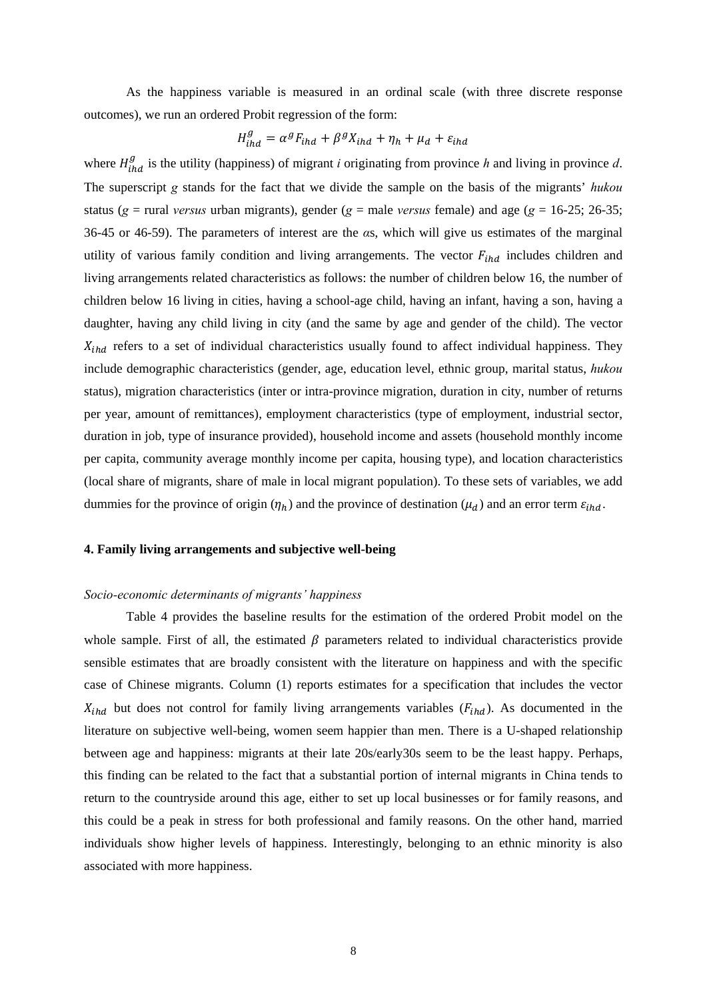As the happiness variable is measured in an ordinal scale (with three discrete response outcomes), we run an ordered Probit regression of the form:

$$
H_{\text{ind}}^g = \alpha^g F_{\text{ind}} + \beta^g Y_{\text{ind}} + \eta_h + \mu_d + \varepsilon_{\text{ind}}
$$

where  $H_{lhd}^g$  is the utility (happiness) of migrant *i* originating from province *h* and living in province *d*. The superscript *g* stands for the fact that we divide the sample on the basis of the migrants' *hukou* status (*g* = rural *versus* urban migrants), gender (*g* = male *versus* female) and age (*g* = 16-25; 26-35; 36-45 or 46-59). The parameters of interest are the *α*s, which will give us estimates of the marginal utility of various family condition and living arrangements. The vector  $F_{thd}$  includes children and living arrangements related characteristics as follows: the number of children below 16, the number of children below 16 living in cities, having a school-age child, having an infant, having a son, having a daughter, having any child living in city (and the same by age and gender of the child). The vector  $X_{ihd}$  refers to a set of individual characteristics usually found to affect individual happiness. They include demographic characteristics (gender, age, education level, ethnic group, marital status, *hukou* status), migration characteristics (inter or intra-province migration, duration in city, number of returns per year, amount of remittances), employment characteristics (type of employment, industrial sector, duration in job, type of insurance provided), household income and assets (household monthly income per capita, community average monthly income per capita, housing type), and location characteristics (local share of migrants, share of male in local migrant population). To these sets of variables, we add dummies for the province of origin  $(\eta_h)$  and the province of destination  $(\mu_d)$  and an error term  $\varepsilon_{ind}$ .

### **4. Family living arrangements and subjective well-being**

### *Socio-economic determinants of migrants' happiness*

Table 4 provides the baseline results for the estimation of the ordered Probit model on the whole sample. First of all, the estimated  $\beta$  parameters related to individual characteristics provide sensible estimates that are broadly consistent with the literature on happiness and with the specific case of Chinese migrants. Column (1) reports estimates for a specification that includes the vector  $X_{ihd}$  but does not control for family living arrangements variables ( $F_{ihd}$ ). As documented in the literature on subjective well-being, women seem happier than men. There is a U-shaped relationship between age and happiness: migrants at their late 20s/early30s seem to be the least happy. Perhaps, this finding can be related to the fact that a substantial portion of internal migrants in China tends to return to the countryside around this age, either to set up local businesses or for family reasons, and this could be a peak in stress for both professional and family reasons. On the other hand, married individuals show higher levels of happiness. Interestingly, belonging to an ethnic minority is also associated with more happiness.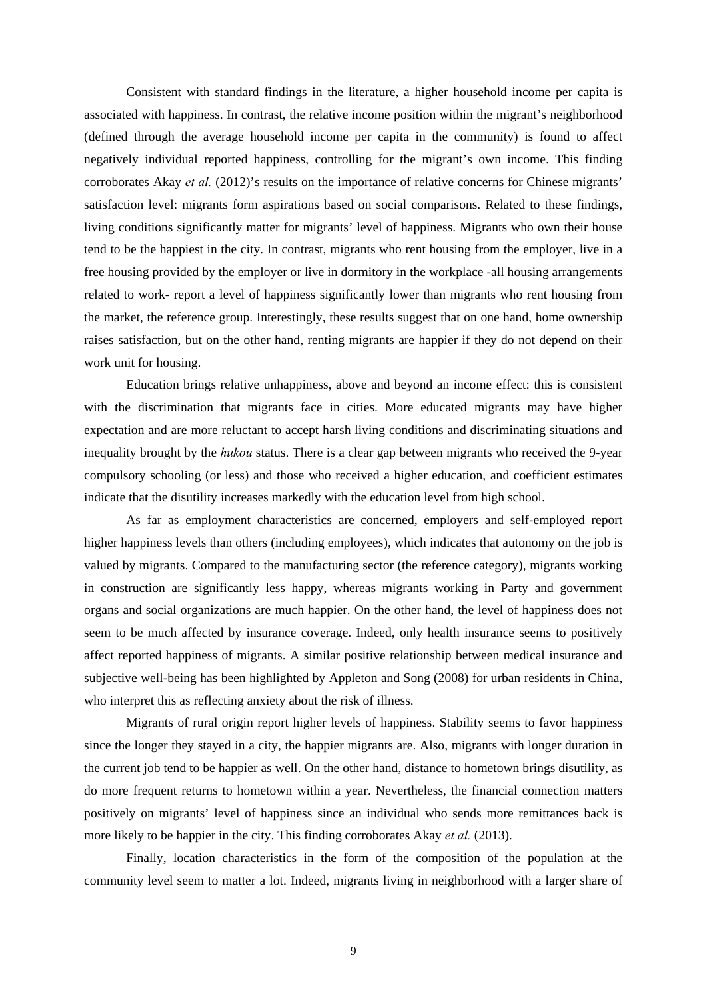Consistent with standard findings in the literature, a higher household income per capita is associated with happiness. In contrast, the relative income position within the migrant's neighborhood (defined through the average household income per capita in the community) is found to affect negatively individual reported happiness, controlling for the migrant's own income. This finding corroborates Akay *et al.* (2012)'s results on the importance of relative concerns for Chinese migrants' satisfaction level: migrants form aspirations based on social comparisons. Related to these findings, living conditions significantly matter for migrants' level of happiness. Migrants who own their house tend to be the happiest in the city. In contrast, migrants who rent housing from the employer, live in a free housing provided by the employer or live in dormitory in the workplace -all housing arrangements related to work- report a level of happiness significantly lower than migrants who rent housing from the market, the reference group. Interestingly, these results suggest that on one hand, home ownership raises satisfaction, but on the other hand, renting migrants are happier if they do not depend on their work unit for housing.

Education brings relative unhappiness, above and beyond an income effect: this is consistent with the discrimination that migrants face in cities. More educated migrants may have higher expectation and are more reluctant to accept harsh living conditions and discriminating situations and inequality brought by the *hukou* status. There is a clear gap between migrants who received the 9-year compulsory schooling (or less) and those who received a higher education, and coefficient estimates indicate that the disutility increases markedly with the education level from high school.

As far as employment characteristics are concerned, employers and self-employed report higher happiness levels than others (including employees), which indicates that autonomy on the job is valued by migrants. Compared to the manufacturing sector (the reference category), migrants working in construction are significantly less happy, whereas migrants working in Party and government organs and social organizations are much happier. On the other hand, the level of happiness does not seem to be much affected by insurance coverage. Indeed, only health insurance seems to positively affect reported happiness of migrants. A similar positive relationship between medical insurance and subjective well-being has been highlighted by Appleton and Song (2008) for urban residents in China, who interpret this as reflecting anxiety about the risk of illness.

Migrants of rural origin report higher levels of happiness. Stability seems to favor happiness since the longer they stayed in a city, the happier migrants are. Also, migrants with longer duration in the current job tend to be happier as well. On the other hand, distance to hometown brings disutility, as do more frequent returns to hometown within a year. Nevertheless, the financial connection matters positively on migrants' level of happiness since an individual who sends more remittances back is more likely to be happier in the city. This finding corroborates Akay *et al.* (2013).

Finally, location characteristics in the form of the composition of the population at the community level seem to matter a lot. Indeed, migrants living in neighborhood with a larger share of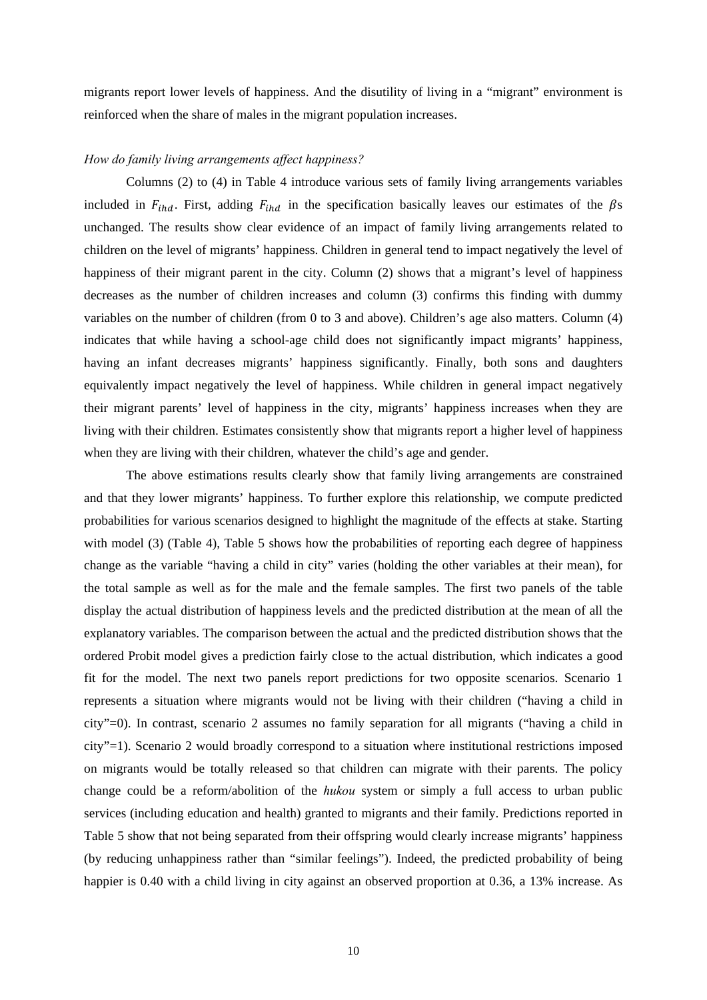migrants report lower levels of happiness. And the disutility of living in a "migrant" environment is reinforced when the share of males in the migrant population increases.

### *How do family living arrangements affect happiness?*

Columns (2) to (4) in Table 4 introduce various sets of family living arrangements variables included in  $F_{ind}$ . First, adding  $F_{ind}$  in the specification basically leaves our estimates of the  $\beta$ s unchanged. The results show clear evidence of an impact of family living arrangements related to children on the level of migrants' happiness. Children in general tend to impact negatively the level of happiness of their migrant parent in the city. Column (2) shows that a migrant's level of happiness decreases as the number of children increases and column (3) confirms this finding with dummy variables on the number of children (from 0 to 3 and above). Children's age also matters. Column (4) indicates that while having a school-age child does not significantly impact migrants' happiness, having an infant decreases migrants' happiness significantly. Finally, both sons and daughters equivalently impact negatively the level of happiness. While children in general impact negatively their migrant parents' level of happiness in the city, migrants' happiness increases when they are living with their children. Estimates consistently show that migrants report a higher level of happiness when they are living with their children, whatever the child's age and gender.

 The above estimations results clearly show that family living arrangements are constrained and that they lower migrants' happiness. To further explore this relationship, we compute predicted probabilities for various scenarios designed to highlight the magnitude of the effects at stake. Starting with model (3) (Table 4), Table 5 shows how the probabilities of reporting each degree of happiness change as the variable "having a child in city" varies (holding the other variables at their mean), for the total sample as well as for the male and the female samples. The first two panels of the table display the actual distribution of happiness levels and the predicted distribution at the mean of all the explanatory variables. The comparison between the actual and the predicted distribution shows that the ordered Probit model gives a prediction fairly close to the actual distribution, which indicates a good fit for the model. The next two panels report predictions for two opposite scenarios. Scenario 1 represents a situation where migrants would not be living with their children ("having a child in city"=0). In contrast, scenario 2 assumes no family separation for all migrants ("having a child in city"=1). Scenario 2 would broadly correspond to a situation where institutional restrictions imposed on migrants would be totally released so that children can migrate with their parents. The policy change could be a reform/abolition of the *hukou* system or simply a full access to urban public services (including education and health) granted to migrants and their family. Predictions reported in Table 5 show that not being separated from their offspring would clearly increase migrants' happiness (by reducing unhappiness rather than "similar feelings"). Indeed, the predicted probability of being happier is 0.40 with a child living in city against an observed proportion at 0.36, a 13% increase. As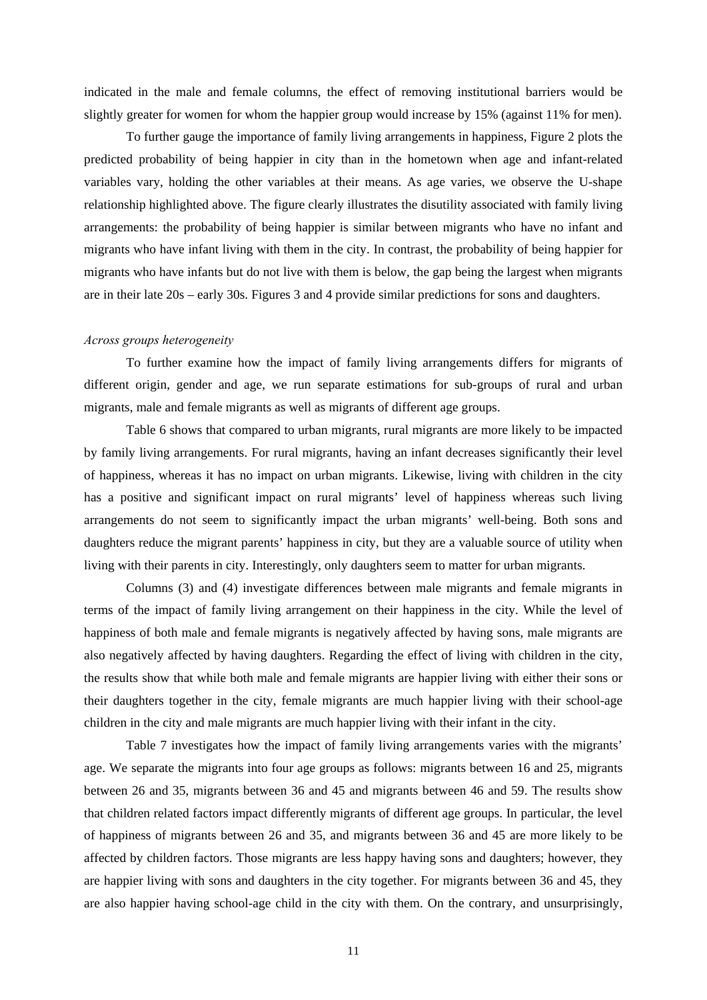indicated in the male and female columns, the effect of removing institutional barriers would be slightly greater for women for whom the happier group would increase by 15% (against 11% for men).

To further gauge the importance of family living arrangements in happiness, Figure 2 plots the predicted probability of being happier in city than in the hometown when age and infant-related variables vary, holding the other variables at their means. As age varies, we observe the U-shape relationship highlighted above. The figure clearly illustrates the disutility associated with family living arrangements: the probability of being happier is similar between migrants who have no infant and migrants who have infant living with them in the city. In contrast, the probability of being happier for migrants who have infants but do not live with them is below, the gap being the largest when migrants are in their late 20s – early 30s. Figures 3 and 4 provide similar predictions for sons and daughters.

### *Across groups heterogeneity*

To further examine how the impact of family living arrangements differs for migrants of different origin, gender and age, we run separate estimations for sub-groups of rural and urban migrants, male and female migrants as well as migrants of different age groups.

Table 6 shows that compared to urban migrants, rural migrants are more likely to be impacted by family living arrangements. For rural migrants, having an infant decreases significantly their level of happiness, whereas it has no impact on urban migrants. Likewise, living with children in the city has a positive and significant impact on rural migrants' level of happiness whereas such living arrangements do not seem to significantly impact the urban migrants' well-being. Both sons and daughters reduce the migrant parents' happiness in city, but they are a valuable source of utility when living with their parents in city. Interestingly, only daughters seem to matter for urban migrants.

Columns (3) and (4) investigate differences between male migrants and female migrants in terms of the impact of family living arrangement on their happiness in the city. While the level of happiness of both male and female migrants is negatively affected by having sons, male migrants are also negatively affected by having daughters. Regarding the effect of living with children in the city, the results show that while both male and female migrants are happier living with either their sons or their daughters together in the city, female migrants are much happier living with their school-age children in the city and male migrants are much happier living with their infant in the city.

Table 7 investigates how the impact of family living arrangements varies with the migrants' age. We separate the migrants into four age groups as follows: migrants between 16 and 25, migrants between 26 and 35, migrants between 36 and 45 and migrants between 46 and 59. The results show that children related factors impact differently migrants of different age groups. In particular, the level of happiness of migrants between 26 and 35, and migrants between 36 and 45 are more likely to be affected by children factors. Those migrants are less happy having sons and daughters; however, they are happier living with sons and daughters in the city together. For migrants between 36 and 45, they are also happier having school-age child in the city with them. On the contrary, and unsurprisingly,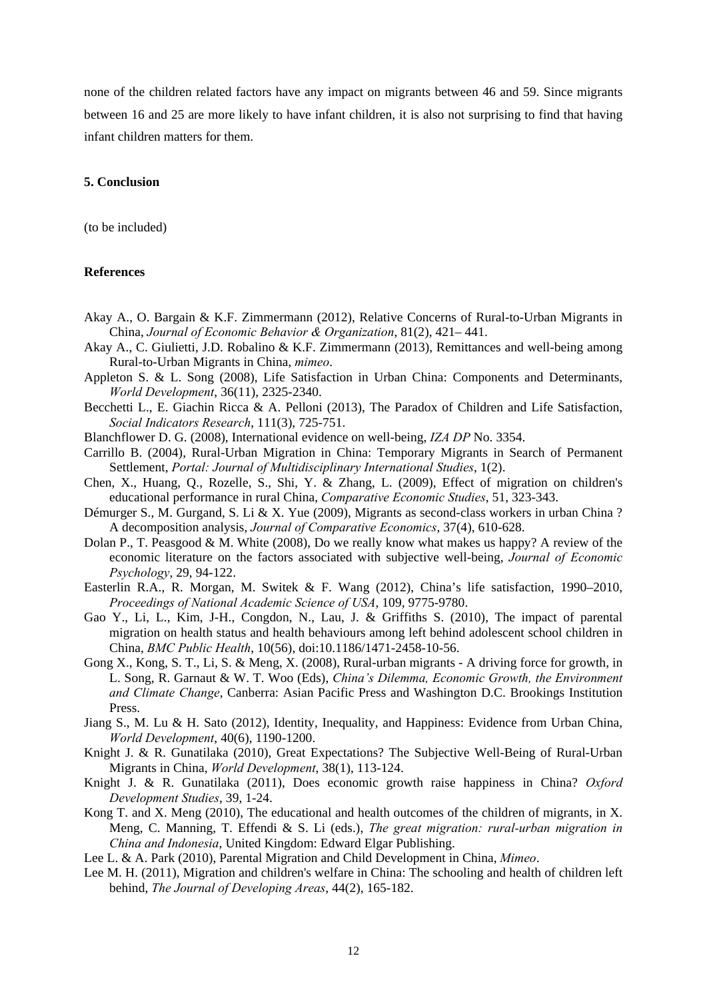none of the children related factors have any impact on migrants between 46 and 59. Since migrants between 16 and 25 are more likely to have infant children, it is also not surprising to find that having infant children matters for them.

## **5. Conclusion**

(to be included)

### **References**

- Akay A., O. Bargain & K.F. Zimmermann (2012), Relative Concerns of Rural-to-Urban Migrants in China, *Journal of Economic Behavior & Organization*, 81(2), 421– 441.
- Akay A., C. Giulietti, J.D. Robalino & K.F. Zimmermann (2013), Remittances and well-being among Rural-to-Urban Migrants in China, *mimeo*.
- Appleton S. & L. Song (2008), Life Satisfaction in Urban China: Components and Determinants, *World Development*, 36(11), 2325-2340.
- Becchetti L., E. Giachin Ricca & A. Pelloni (2013), The Paradox of Children and Life Satisfaction, *Social Indicators Research*, 111(3), 725-751.
- Blanchflower D. G. (2008), International evidence on well-being, *IZA DP* No. 3354.
- Carrillo B. (2004), Rural-Urban Migration in China: Temporary Migrants in Search of Permanent Settlement, *Portal: Journal of Multidisciplinary International Studies*, 1(2).
- Chen, X., Huang, Q., Rozelle, S., Shi, Y. & Zhang, L. (2009), Effect of migration on children's educational performance in rural China, *Comparative Economic Studies*, 51, 323-343.
- Démurger S., M. Gurgand, S. Li & X. Yue (2009), Migrants as second-class workers in urban China ? A decomposition analysis, *Journal of Comparative Economics*, 37(4), 610-628.
- Dolan P., T. Peasgood & M. White (2008), Do we really know what makes us happy? A review of the economic literature on the factors associated with subjective well-being, *Journal of Economic Psychology*, 29, 94-122.
- Easterlin R.A., R. Morgan, M. Switek & F. Wang (2012), China's life satisfaction, 1990–2010, *Proceedings of National Academic Science of USA*, 109, 9775-9780.
- Gao Y., Li, L., Kim, J-H., Congdon, N., Lau, J. & Griffiths S. (2010), The impact of parental migration on health status and health behaviours among left behind adolescent school children in China, *BMC Public Health*, 10(56), doi:10.1186/1471-2458-10-56.
- Gong X., Kong, S. T., Li, S. & Meng, X. (2008), Rural-urban migrants A driving force for growth, in L. Song, R. Garnaut & W. T. Woo (Eds), *China's Dilemma, Economic Growth, the Environment and Climate Change*, Canberra: Asian Pacific Press and Washington D.C. Brookings Institution Press.
- Jiang S., M. Lu & H. Sato (2012), Identity, Inequality, and Happiness: Evidence from Urban China, *World Development*, 40(6), 1190-1200.
- Knight J. & R. Gunatilaka (2010), Great Expectations? The Subjective Well-Being of Rural-Urban Migrants in China, *World Development*, 38(1), 113-124.
- Knight J. & R. Gunatilaka (2011), Does economic growth raise happiness in China? *Oxford Development Studies*, 39, 1-24.
- Kong T. and X. Meng (2010), The educational and health outcomes of the children of migrants, in X. Meng, C. Manning, T. Effendi & S. Li (eds.), *The great migration: rural-urban migration in China and Indonesia*, United Kingdom: Edward Elgar Publishing.

Lee L. & A. Park (2010), Parental Migration and Child Development in China, *Mimeo*.

Lee M. H. (2011), Migration and children's welfare in China: The schooling and health of children left behind, *The Journal of Developing Areas*, 44(2), 165-182.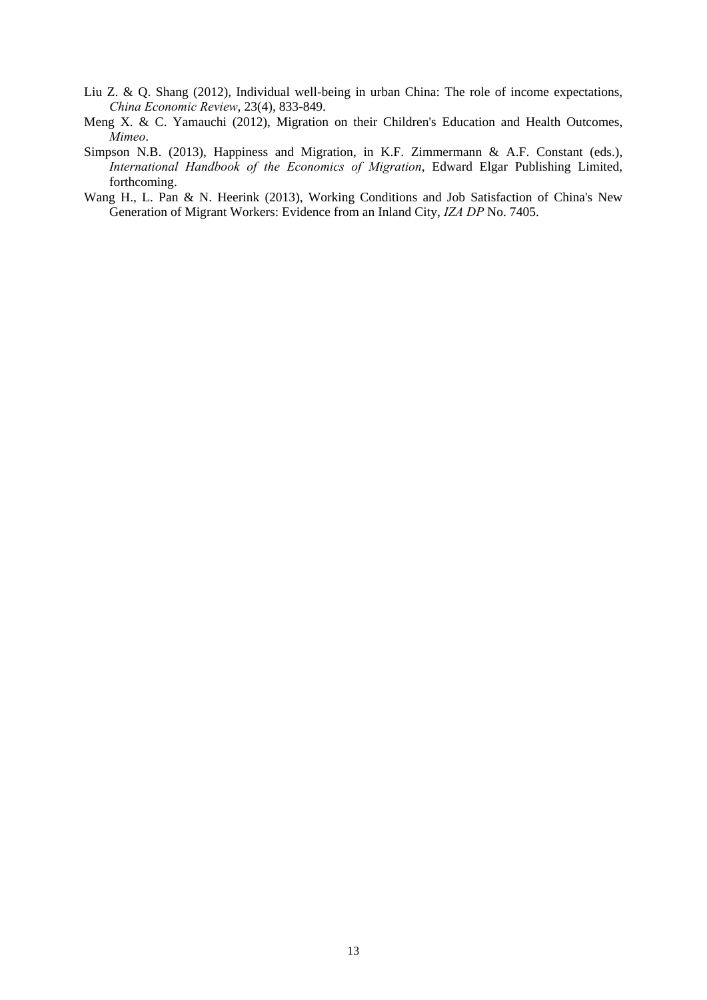- Liu Z. & Q. Shang (2012), Individual well-being in urban China: The role of income expectations, *China Economic Review*, 23(4), 833-849.
- Meng X. & C. Yamauchi (2012), Migration on their Children's Education and Health Outcomes, *Mimeo*.
- Simpson N.B. (2013), Happiness and Migration, in K.F. Zimmermann & A.F. Constant (eds.), *International Handbook of the Economics of Migration*, Edward Elgar Publishing Limited, forthcoming.
- Wang H., L. Pan & N. Heerink (2013), Working Conditions and Job Satisfaction of China's New Generation of Migrant Workers: Evidence from an Inland City, *IZA DP* No. 7405.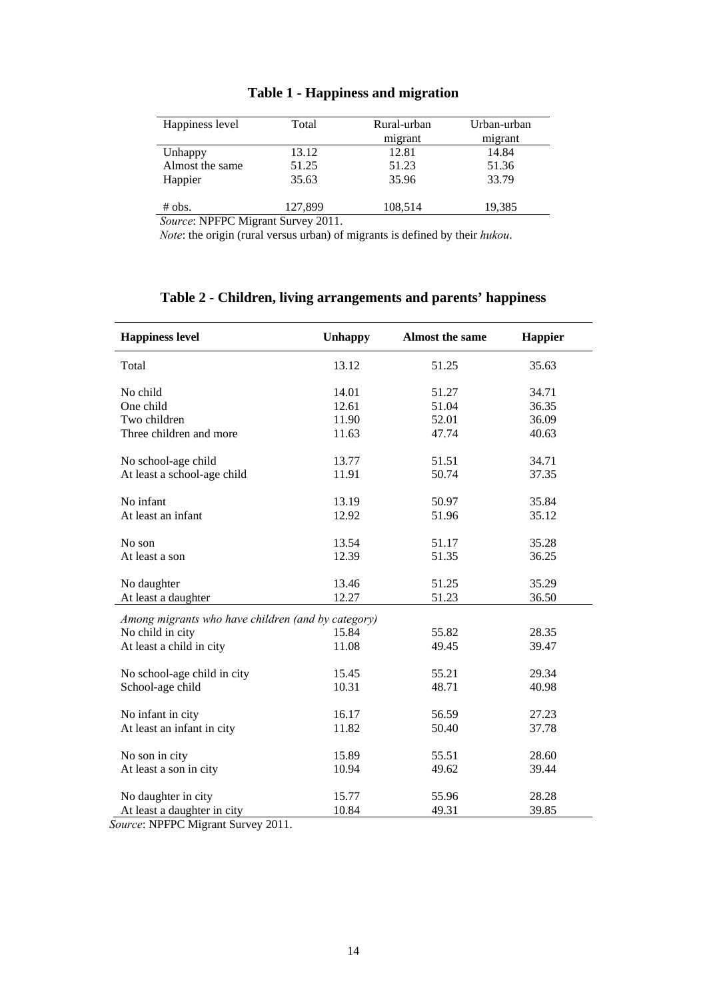| Total   | Rural-urban | Urban-urban |
|---------|-------------|-------------|
|         | migrant     | migrant     |
| 13.12   | 12.81       | 14.84       |
| 51.25   | 51.23       | 51.36       |
| 35.63   | 35.96       | 33.79       |
|         |             |             |
| 127,899 | 108,514     | 19,385      |
|         |             |             |

# **Table 1 - Happiness and migration**

*Source*: NPFPC Migrant Survey 2011.

*Note*: the origin (rural versus urban) of migrants is defined by their *hukou*.

| <b>Happiness level</b>                             | <b>Unhappy</b> | <b>Almost the same</b> | <b>Happier</b> |
|----------------------------------------------------|----------------|------------------------|----------------|
| Total                                              | 13.12          | 51.25                  | 35.63          |
| No child                                           | 14.01          | 51.27                  | 34.71          |
| One child                                          | 12.61          | 51.04                  | 36.35          |
| Two children                                       | 11.90          | 52.01                  | 36.09          |
| Three children and more                            | 11.63          | 47.74                  | 40.63          |
| No school-age child                                | 13.77          | 51.51                  | 34.71          |
| At least a school-age child                        | 11.91          | 50.74                  | 37.35          |
| No infant                                          | 13.19          | 50.97                  | 35.84          |
| At least an infant                                 | 12.92          | 51.96                  | 35.12          |
| No son                                             | 13.54          | 51.17                  | 35.28          |
| At least a son                                     | 12.39          | 51.35                  | 36.25          |
| No daughter                                        | 13.46          | 51.25                  | 35.29          |
| At least a daughter                                | 12.27          | 51.23                  | 36.50          |
| Among migrants who have children (and by category) |                |                        |                |
| No child in city                                   | 15.84          | 55.82                  | 28.35          |
| At least a child in city                           | 11.08          | 49.45                  | 39.47          |
| No school-age child in city                        | 15.45          | 55.21                  | 29.34          |
| School-age child                                   | 10.31          | 48.71                  | 40.98          |
| No infant in city                                  | 16.17          | 56.59                  | 27.23          |
| At least an infant in city                         | 11.82          | 50.40                  | 37.78          |
| No son in city                                     | 15.89          | 55.51                  | 28.60          |
| At least a son in city                             | 10.94          | 49.62                  | 39.44          |
| No daughter in city                                | 15.77          | 55.96                  | 28.28          |
| At least a daughter in city                        | 10.84          | 49.31                  | 39.85          |

# **Table 2 - Children, living arrangements and parents' happiness**

*Source*: NPFPC Migrant Survey 2011.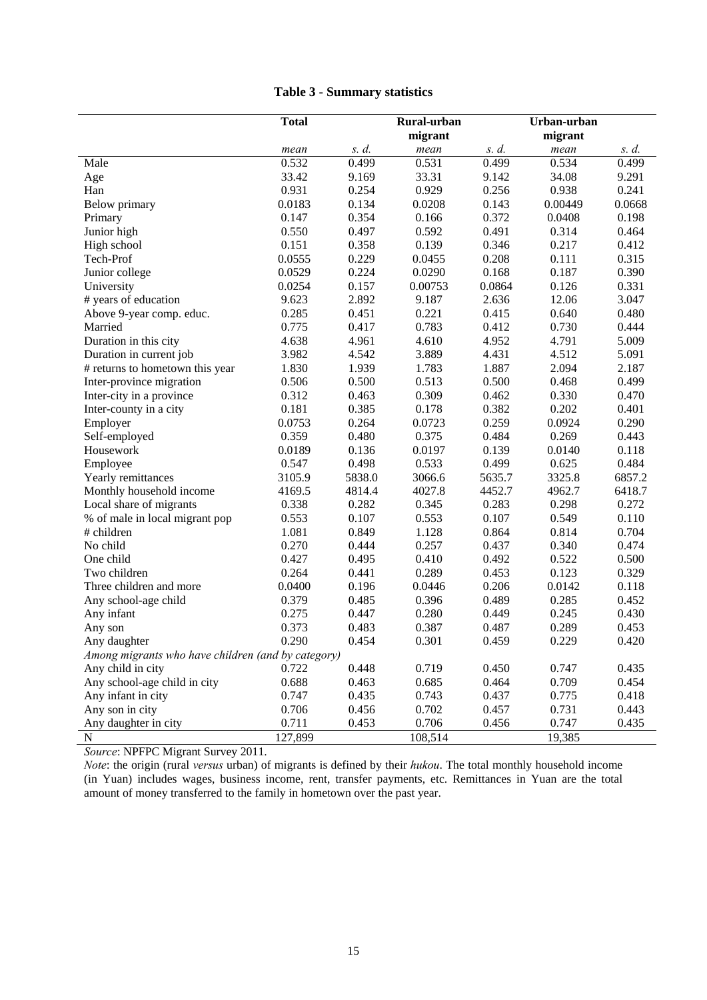|                                                    | <b>Total</b> |        | Rural-urban<br>migrant |        | Urban-urban<br>migrant |        |
|----------------------------------------------------|--------------|--------|------------------------|--------|------------------------|--------|
|                                                    | mean         | s. d.  | mean                   | s. d.  | mean                   | s. d.  |
| Male                                               | 0.532        | 0.499  | 0.531                  | 0.499  | 0.534                  | 0.499  |
| Age                                                | 33.42        | 9.169  | 33.31                  | 9.142  | 34.08                  | 9.291  |
| Han                                                | 0.931        | 0.254  | 0.929                  | 0.256  | 0.938                  | 0.241  |
| Below primary                                      | 0.0183       | 0.134  | 0.0208                 | 0.143  | 0.00449                | 0.0668 |
| Primary                                            | 0.147        | 0.354  | 0.166                  | 0.372  | 0.0408                 | 0.198  |
| Junior high                                        | 0.550        | 0.497  | 0.592                  | 0.491  | 0.314                  | 0.464  |
| High school                                        | 0.151        | 0.358  | 0.139                  | 0.346  | 0.217                  | 0.412  |
| Tech-Prof                                          | 0.0555       | 0.229  | 0.0455                 | 0.208  | 0.111                  | 0.315  |
| Junior college                                     | 0.0529       | 0.224  | 0.0290                 | 0.168  | 0.187                  | 0.390  |
| University                                         | 0.0254       | 0.157  | 0.00753                | 0.0864 | 0.126                  | 0.331  |
| # years of education                               | 9.623        | 2.892  | 9.187                  | 2.636  | 12.06                  | 3.047  |
| Above 9-year comp. educ.                           | 0.285        | 0.451  | 0.221                  | 0.415  | 0.640                  | 0.480  |
| Married                                            | 0.775        | 0.417  | 0.783                  | 0.412  | 0.730                  | 0.444  |
| Duration in this city                              | 4.638        | 4.961  | 4.610                  | 4.952  | 4.791                  | 5.009  |
| Duration in current job                            | 3.982        | 4.542  | 3.889                  | 4.431  | 4.512                  | 5.091  |
| # returns to hometown this year                    | 1.830        | 1.939  | 1.783                  | 1.887  | 2.094                  | 2.187  |
| Inter-province migration                           | 0.506        | 0.500  | 0.513                  | 0.500  | 0.468                  | 0.499  |
| Inter-city in a province                           | 0.312        | 0.463  | 0.309                  | 0.462  | 0.330                  | 0.470  |
| Inter-county in a city                             | 0.181        | 0.385  | 0.178                  | 0.382  | 0.202                  | 0.401  |
| Employer                                           | 0.0753       | 0.264  | 0.0723                 | 0.259  | 0.0924                 | 0.290  |
| Self-employed                                      | 0.359        | 0.480  | 0.375                  | 0.484  | 0.269                  | 0.443  |
| Housework                                          | 0.0189       | 0.136  | 0.0197                 | 0.139  | 0.0140                 | 0.118  |
| Employee                                           | 0.547        | 0.498  | 0.533                  | 0.499  | 0.625                  | 0.484  |
| Yearly remittances                                 | 3105.9       | 5838.0 | 3066.6                 | 5635.7 | 3325.8                 | 6857.2 |
| Monthly household income                           | 4169.5       | 4814.4 | 4027.8                 | 4452.7 | 4962.7                 | 6418.7 |
| Local share of migrants                            | 0.338        | 0.282  | 0.345                  | 0.283  | 0.298                  | 0.272  |
| % of male in local migrant pop                     | 0.553        | 0.107  | 0.553                  | 0.107  | 0.549                  | 0.110  |
| # children                                         | 1.081        | 0.849  | 1.128                  | 0.864  | 0.814                  | 0.704  |
| No child                                           | 0.270        | 0.444  | 0.257                  | 0.437  | 0.340                  | 0.474  |
| One child                                          | 0.427        | 0.495  | 0.410                  | 0.492  | 0.522                  | 0.500  |
| Two children                                       | 0.264        | 0.441  | 0.289                  | 0.453  | 0.123                  | 0.329  |
| Three children and more                            | 0.0400       | 0.196  | 0.0446                 | 0.206  | 0.0142                 | 0.118  |
| Any school-age child                               | 0.379        | 0.485  | 0.396                  | 0.489  | 0.285                  | 0.452  |
| Any infant                                         | 0.275        | 0.447  | 0.280                  | 0.449  | 0.245                  | 0.430  |
| Any son                                            | 0.373        | 0.483  | 0.387                  | 0.487  | 0.289                  | 0.453  |
| Any daughter                                       | 0.290        | 0.454  | 0.301                  | 0.459  | 0.229                  | 0.420  |
| Among migrants who have children (and by category) |              |        |                        |        |                        |        |
| Any child in city                                  | 0.722        | 0.448  | 0.719                  | 0.450  | 0.747                  | 0.435  |
| Any school-age child in city                       | 0.688        | 0.463  | 0.685                  | 0.464  | 0.709                  | 0.454  |
| Any infant in city                                 | 0.747        | 0.435  | 0.743                  | 0.437  | 0.775                  | 0.418  |
| Any son in city                                    | 0.706        | 0.456  | 0.702                  | 0.457  | 0.731                  | 0.443  |
| Any daughter in city                               | 0.711        | 0.453  | 0.706                  | 0.456  | 0.747                  | 0.435  |
| $\mathbf N$                                        | 127,899      |        | 108,514                |        | 19,385                 |        |

# **Table 3 - Summary statistics**

*Source*: NPFPC Migrant Survey 2011.

*Note*: the origin (rural *versus* urban) of migrants is defined by their *hukou*. The total monthly household income (in Yuan) includes wages, business income, rent, transfer payments, etc. Remittances in Yuan are the total amount of money transferred to the family in hometown over the past year.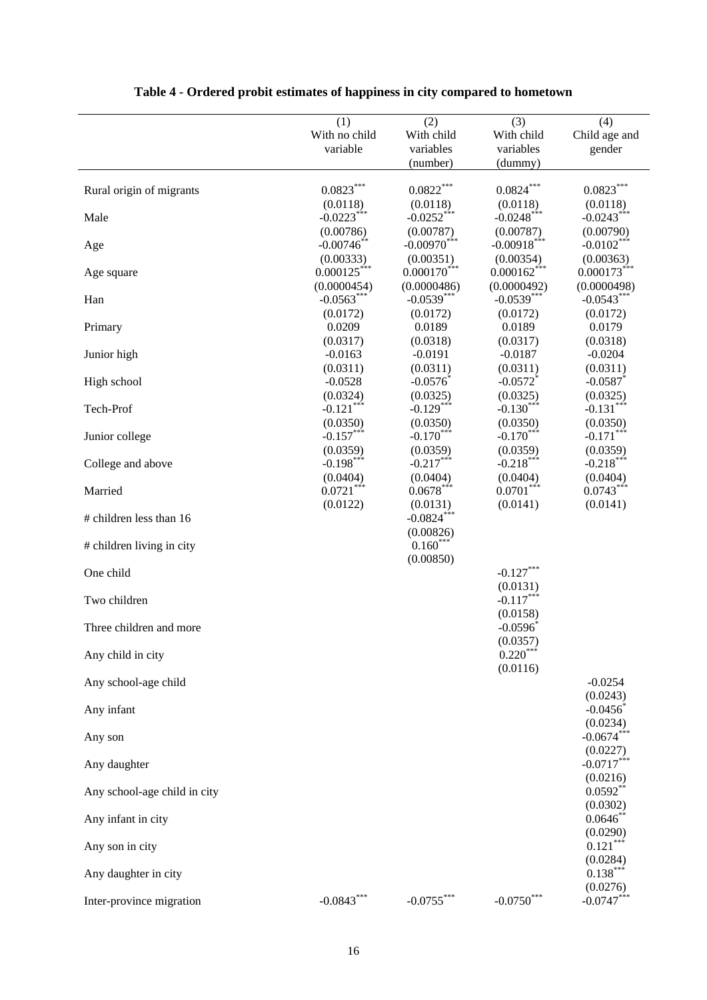| (3)<br>(1)<br>(2)<br>(4)<br>With child<br>With no child<br>With child<br>Child age and<br>variable<br>variables<br>variables<br>gender<br>(number)<br>(dummy)<br>$0.0823***$<br>$0.0822***$<br>$0.0824***$<br>$0.0823***$<br>Rural origin of migrants<br>(0.0118)<br>(0.0118)<br>(0.0118)<br>(0.0118)<br>$-0.0223***$<br>$-0.0252***$<br>$-0.0248$ ***<br>$-0.0243***$<br>Male<br>(0.00786)<br>(0.00787)<br>(0.00787)<br>(0.00790)<br>$-0.00970$ ***<br>$-0.00918$ ***<br>$-0.00746$ **<br>$-0.0102***$<br>Age<br>(0.00333)<br>(0.00351)<br>(0.00354)<br>(0.00363)<br>$0.000125***$<br>$0.000170$ ***<br>$0.000162***$<br>$0.000173***$<br>Age square<br>(0.0000454)<br>(0.0000486)<br>(0.0000492)<br>(0.0000498)<br>$-0.0563***$<br>$-0.0539***$<br>$-0.0539***$<br>$-0.0543***$<br>Han<br>(0.0172)<br>(0.0172)<br>(0.0172)<br>(0.0172)<br>0.0209<br>0.0189<br>0.0189<br>0.0179<br>Primary<br>(0.0317)<br>(0.0318)<br>(0.0317)<br>(0.0318)<br>$-0.0163$<br>$-0.0191$<br>$-0.0187$<br>$-0.0204$<br>Junior high<br>(0.0311)<br>(0.0311)<br>(0.0311)<br>(0.0311)<br>$-0.0576$<br>$-0.0572$ <sup>*</sup><br>$-0.0587$<br>$-0.0528$<br>High school<br>(0.0325)<br>(0.0325)<br>(0.0324)<br>(0.0325)<br>$-0.121***$<br>$-0.129***$<br>$-0.131***$<br>$-0.130***$<br>Tech-Prof<br>(0.0350)<br>(0.0350)<br>(0.0350)<br>(0.0350)<br>$-0.157***$<br>$-0.170***$<br>$-0.171***$<br>$-0.170***$<br>Junior college<br>(0.0359)<br>(0.0359)<br>(0.0359)<br>(0.0359)<br>$-0.217***$<br>$-0.218***$<br>$-0.218***$<br>$-0.198***$<br>College and above<br>(0.0404)<br>(0.0404)<br>(0.0404)<br>(0.0404)<br>$0.0721***$<br>$0.0678***$<br>$0.0701***$<br>$0.0743***$<br>Married<br>(0.0141)<br>(0.0122)<br>(0.0131)<br>(0.0141)<br>$-0.0824***$<br># children less than 16<br>(0.00826)<br>$0.160***$<br># children living in city<br>(0.00850)<br>$-0.127***$<br>One child<br>(0.0131)<br>$-0.117***$<br>Two children<br>(0.0158)<br>$-0.0596$<br>Three children and more<br>(0.0357)<br>$0.220***$<br>Any child in city<br>(0.0116)<br>Any school-age child<br>$-0.0254$<br>(0.0243)<br>$-0.0456$<br>Any infant<br>(0.0234)<br>$-0.0674***$<br>Any son<br>(0.0227)<br>$-0.0717***$<br>Any daughter<br>(0.0216)<br>$0.0592**$<br>Any school-age child in city<br>(0.0302)<br>0.0646<br>Any infant in city<br>(0.0290)<br>$0.121***$<br>Any son in city<br>(0.0284)<br>$0.138***$<br>Any daughter in city<br>(0.0276)<br>$-0.0843***$<br>$-0.0755***$<br>$-0.0747***$<br>$-0.0750***$<br>Inter-province migration |  |  |  |
|-------------------------------------------------------------------------------------------------------------------------------------------------------------------------------------------------------------------------------------------------------------------------------------------------------------------------------------------------------------------------------------------------------------------------------------------------------------------------------------------------------------------------------------------------------------------------------------------------------------------------------------------------------------------------------------------------------------------------------------------------------------------------------------------------------------------------------------------------------------------------------------------------------------------------------------------------------------------------------------------------------------------------------------------------------------------------------------------------------------------------------------------------------------------------------------------------------------------------------------------------------------------------------------------------------------------------------------------------------------------------------------------------------------------------------------------------------------------------------------------------------------------------------------------------------------------------------------------------------------------------------------------------------------------------------------------------------------------------------------------------------------------------------------------------------------------------------------------------------------------------------------------------------------------------------------------------------------------------------------------------------------------------------------------------------------------------------------------------------------------------------------------------------------------------------------------------------------------------------------------------------------------------------------------------------------------------------------------------------------------------------------------------------------------------------------------------------------------------------------------------|--|--|--|
|                                                                                                                                                                                                                                                                                                                                                                                                                                                                                                                                                                                                                                                                                                                                                                                                                                                                                                                                                                                                                                                                                                                                                                                                                                                                                                                                                                                                                                                                                                                                                                                                                                                                                                                                                                                                                                                                                                                                                                                                                                                                                                                                                                                                                                                                                                                                                                                                                                                                                                 |  |  |  |
|                                                                                                                                                                                                                                                                                                                                                                                                                                                                                                                                                                                                                                                                                                                                                                                                                                                                                                                                                                                                                                                                                                                                                                                                                                                                                                                                                                                                                                                                                                                                                                                                                                                                                                                                                                                                                                                                                                                                                                                                                                                                                                                                                                                                                                                                                                                                                                                                                                                                                                 |  |  |  |
|                                                                                                                                                                                                                                                                                                                                                                                                                                                                                                                                                                                                                                                                                                                                                                                                                                                                                                                                                                                                                                                                                                                                                                                                                                                                                                                                                                                                                                                                                                                                                                                                                                                                                                                                                                                                                                                                                                                                                                                                                                                                                                                                                                                                                                                                                                                                                                                                                                                                                                 |  |  |  |
|                                                                                                                                                                                                                                                                                                                                                                                                                                                                                                                                                                                                                                                                                                                                                                                                                                                                                                                                                                                                                                                                                                                                                                                                                                                                                                                                                                                                                                                                                                                                                                                                                                                                                                                                                                                                                                                                                                                                                                                                                                                                                                                                                                                                                                                                                                                                                                                                                                                                                                 |  |  |  |
|                                                                                                                                                                                                                                                                                                                                                                                                                                                                                                                                                                                                                                                                                                                                                                                                                                                                                                                                                                                                                                                                                                                                                                                                                                                                                                                                                                                                                                                                                                                                                                                                                                                                                                                                                                                                                                                                                                                                                                                                                                                                                                                                                                                                                                                                                                                                                                                                                                                                                                 |  |  |  |
|                                                                                                                                                                                                                                                                                                                                                                                                                                                                                                                                                                                                                                                                                                                                                                                                                                                                                                                                                                                                                                                                                                                                                                                                                                                                                                                                                                                                                                                                                                                                                                                                                                                                                                                                                                                                                                                                                                                                                                                                                                                                                                                                                                                                                                                                                                                                                                                                                                                                                                 |  |  |  |
|                                                                                                                                                                                                                                                                                                                                                                                                                                                                                                                                                                                                                                                                                                                                                                                                                                                                                                                                                                                                                                                                                                                                                                                                                                                                                                                                                                                                                                                                                                                                                                                                                                                                                                                                                                                                                                                                                                                                                                                                                                                                                                                                                                                                                                                                                                                                                                                                                                                                                                 |  |  |  |
|                                                                                                                                                                                                                                                                                                                                                                                                                                                                                                                                                                                                                                                                                                                                                                                                                                                                                                                                                                                                                                                                                                                                                                                                                                                                                                                                                                                                                                                                                                                                                                                                                                                                                                                                                                                                                                                                                                                                                                                                                                                                                                                                                                                                                                                                                                                                                                                                                                                                                                 |  |  |  |
|                                                                                                                                                                                                                                                                                                                                                                                                                                                                                                                                                                                                                                                                                                                                                                                                                                                                                                                                                                                                                                                                                                                                                                                                                                                                                                                                                                                                                                                                                                                                                                                                                                                                                                                                                                                                                                                                                                                                                                                                                                                                                                                                                                                                                                                                                                                                                                                                                                                                                                 |  |  |  |
|                                                                                                                                                                                                                                                                                                                                                                                                                                                                                                                                                                                                                                                                                                                                                                                                                                                                                                                                                                                                                                                                                                                                                                                                                                                                                                                                                                                                                                                                                                                                                                                                                                                                                                                                                                                                                                                                                                                                                                                                                                                                                                                                                                                                                                                                                                                                                                                                                                                                                                 |  |  |  |
|                                                                                                                                                                                                                                                                                                                                                                                                                                                                                                                                                                                                                                                                                                                                                                                                                                                                                                                                                                                                                                                                                                                                                                                                                                                                                                                                                                                                                                                                                                                                                                                                                                                                                                                                                                                                                                                                                                                                                                                                                                                                                                                                                                                                                                                                                                                                                                                                                                                                                                 |  |  |  |
|                                                                                                                                                                                                                                                                                                                                                                                                                                                                                                                                                                                                                                                                                                                                                                                                                                                                                                                                                                                                                                                                                                                                                                                                                                                                                                                                                                                                                                                                                                                                                                                                                                                                                                                                                                                                                                                                                                                                                                                                                                                                                                                                                                                                                                                                                                                                                                                                                                                                                                 |  |  |  |
|                                                                                                                                                                                                                                                                                                                                                                                                                                                                                                                                                                                                                                                                                                                                                                                                                                                                                                                                                                                                                                                                                                                                                                                                                                                                                                                                                                                                                                                                                                                                                                                                                                                                                                                                                                                                                                                                                                                                                                                                                                                                                                                                                                                                                                                                                                                                                                                                                                                                                                 |  |  |  |
|                                                                                                                                                                                                                                                                                                                                                                                                                                                                                                                                                                                                                                                                                                                                                                                                                                                                                                                                                                                                                                                                                                                                                                                                                                                                                                                                                                                                                                                                                                                                                                                                                                                                                                                                                                                                                                                                                                                                                                                                                                                                                                                                                                                                                                                                                                                                                                                                                                                                                                 |  |  |  |
|                                                                                                                                                                                                                                                                                                                                                                                                                                                                                                                                                                                                                                                                                                                                                                                                                                                                                                                                                                                                                                                                                                                                                                                                                                                                                                                                                                                                                                                                                                                                                                                                                                                                                                                                                                                                                                                                                                                                                                                                                                                                                                                                                                                                                                                                                                                                                                                                                                                                                                 |  |  |  |
|                                                                                                                                                                                                                                                                                                                                                                                                                                                                                                                                                                                                                                                                                                                                                                                                                                                                                                                                                                                                                                                                                                                                                                                                                                                                                                                                                                                                                                                                                                                                                                                                                                                                                                                                                                                                                                                                                                                                                                                                                                                                                                                                                                                                                                                                                                                                                                                                                                                                                                 |  |  |  |
|                                                                                                                                                                                                                                                                                                                                                                                                                                                                                                                                                                                                                                                                                                                                                                                                                                                                                                                                                                                                                                                                                                                                                                                                                                                                                                                                                                                                                                                                                                                                                                                                                                                                                                                                                                                                                                                                                                                                                                                                                                                                                                                                                                                                                                                                                                                                                                                                                                                                                                 |  |  |  |
|                                                                                                                                                                                                                                                                                                                                                                                                                                                                                                                                                                                                                                                                                                                                                                                                                                                                                                                                                                                                                                                                                                                                                                                                                                                                                                                                                                                                                                                                                                                                                                                                                                                                                                                                                                                                                                                                                                                                                                                                                                                                                                                                                                                                                                                                                                                                                                                                                                                                                                 |  |  |  |
|                                                                                                                                                                                                                                                                                                                                                                                                                                                                                                                                                                                                                                                                                                                                                                                                                                                                                                                                                                                                                                                                                                                                                                                                                                                                                                                                                                                                                                                                                                                                                                                                                                                                                                                                                                                                                                                                                                                                                                                                                                                                                                                                                                                                                                                                                                                                                                                                                                                                                                 |  |  |  |
|                                                                                                                                                                                                                                                                                                                                                                                                                                                                                                                                                                                                                                                                                                                                                                                                                                                                                                                                                                                                                                                                                                                                                                                                                                                                                                                                                                                                                                                                                                                                                                                                                                                                                                                                                                                                                                                                                                                                                                                                                                                                                                                                                                                                                                                                                                                                                                                                                                                                                                 |  |  |  |
|                                                                                                                                                                                                                                                                                                                                                                                                                                                                                                                                                                                                                                                                                                                                                                                                                                                                                                                                                                                                                                                                                                                                                                                                                                                                                                                                                                                                                                                                                                                                                                                                                                                                                                                                                                                                                                                                                                                                                                                                                                                                                                                                                                                                                                                                                                                                                                                                                                                                                                 |  |  |  |
|                                                                                                                                                                                                                                                                                                                                                                                                                                                                                                                                                                                                                                                                                                                                                                                                                                                                                                                                                                                                                                                                                                                                                                                                                                                                                                                                                                                                                                                                                                                                                                                                                                                                                                                                                                                                                                                                                                                                                                                                                                                                                                                                                                                                                                                                                                                                                                                                                                                                                                 |  |  |  |
|                                                                                                                                                                                                                                                                                                                                                                                                                                                                                                                                                                                                                                                                                                                                                                                                                                                                                                                                                                                                                                                                                                                                                                                                                                                                                                                                                                                                                                                                                                                                                                                                                                                                                                                                                                                                                                                                                                                                                                                                                                                                                                                                                                                                                                                                                                                                                                                                                                                                                                 |  |  |  |
|                                                                                                                                                                                                                                                                                                                                                                                                                                                                                                                                                                                                                                                                                                                                                                                                                                                                                                                                                                                                                                                                                                                                                                                                                                                                                                                                                                                                                                                                                                                                                                                                                                                                                                                                                                                                                                                                                                                                                                                                                                                                                                                                                                                                                                                                                                                                                                                                                                                                                                 |  |  |  |
|                                                                                                                                                                                                                                                                                                                                                                                                                                                                                                                                                                                                                                                                                                                                                                                                                                                                                                                                                                                                                                                                                                                                                                                                                                                                                                                                                                                                                                                                                                                                                                                                                                                                                                                                                                                                                                                                                                                                                                                                                                                                                                                                                                                                                                                                                                                                                                                                                                                                                                 |  |  |  |
|                                                                                                                                                                                                                                                                                                                                                                                                                                                                                                                                                                                                                                                                                                                                                                                                                                                                                                                                                                                                                                                                                                                                                                                                                                                                                                                                                                                                                                                                                                                                                                                                                                                                                                                                                                                                                                                                                                                                                                                                                                                                                                                                                                                                                                                                                                                                                                                                                                                                                                 |  |  |  |
|                                                                                                                                                                                                                                                                                                                                                                                                                                                                                                                                                                                                                                                                                                                                                                                                                                                                                                                                                                                                                                                                                                                                                                                                                                                                                                                                                                                                                                                                                                                                                                                                                                                                                                                                                                                                                                                                                                                                                                                                                                                                                                                                                                                                                                                                                                                                                                                                                                                                                                 |  |  |  |
|                                                                                                                                                                                                                                                                                                                                                                                                                                                                                                                                                                                                                                                                                                                                                                                                                                                                                                                                                                                                                                                                                                                                                                                                                                                                                                                                                                                                                                                                                                                                                                                                                                                                                                                                                                                                                                                                                                                                                                                                                                                                                                                                                                                                                                                                                                                                                                                                                                                                                                 |  |  |  |
|                                                                                                                                                                                                                                                                                                                                                                                                                                                                                                                                                                                                                                                                                                                                                                                                                                                                                                                                                                                                                                                                                                                                                                                                                                                                                                                                                                                                                                                                                                                                                                                                                                                                                                                                                                                                                                                                                                                                                                                                                                                                                                                                                                                                                                                                                                                                                                                                                                                                                                 |  |  |  |
|                                                                                                                                                                                                                                                                                                                                                                                                                                                                                                                                                                                                                                                                                                                                                                                                                                                                                                                                                                                                                                                                                                                                                                                                                                                                                                                                                                                                                                                                                                                                                                                                                                                                                                                                                                                                                                                                                                                                                                                                                                                                                                                                                                                                                                                                                                                                                                                                                                                                                                 |  |  |  |
|                                                                                                                                                                                                                                                                                                                                                                                                                                                                                                                                                                                                                                                                                                                                                                                                                                                                                                                                                                                                                                                                                                                                                                                                                                                                                                                                                                                                                                                                                                                                                                                                                                                                                                                                                                                                                                                                                                                                                                                                                                                                                                                                                                                                                                                                                                                                                                                                                                                                                                 |  |  |  |
|                                                                                                                                                                                                                                                                                                                                                                                                                                                                                                                                                                                                                                                                                                                                                                                                                                                                                                                                                                                                                                                                                                                                                                                                                                                                                                                                                                                                                                                                                                                                                                                                                                                                                                                                                                                                                                                                                                                                                                                                                                                                                                                                                                                                                                                                                                                                                                                                                                                                                                 |  |  |  |
|                                                                                                                                                                                                                                                                                                                                                                                                                                                                                                                                                                                                                                                                                                                                                                                                                                                                                                                                                                                                                                                                                                                                                                                                                                                                                                                                                                                                                                                                                                                                                                                                                                                                                                                                                                                                                                                                                                                                                                                                                                                                                                                                                                                                                                                                                                                                                                                                                                                                                                 |  |  |  |
|                                                                                                                                                                                                                                                                                                                                                                                                                                                                                                                                                                                                                                                                                                                                                                                                                                                                                                                                                                                                                                                                                                                                                                                                                                                                                                                                                                                                                                                                                                                                                                                                                                                                                                                                                                                                                                                                                                                                                                                                                                                                                                                                                                                                                                                                                                                                                                                                                                                                                                 |  |  |  |
|                                                                                                                                                                                                                                                                                                                                                                                                                                                                                                                                                                                                                                                                                                                                                                                                                                                                                                                                                                                                                                                                                                                                                                                                                                                                                                                                                                                                                                                                                                                                                                                                                                                                                                                                                                                                                                                                                                                                                                                                                                                                                                                                                                                                                                                                                                                                                                                                                                                                                                 |  |  |  |
|                                                                                                                                                                                                                                                                                                                                                                                                                                                                                                                                                                                                                                                                                                                                                                                                                                                                                                                                                                                                                                                                                                                                                                                                                                                                                                                                                                                                                                                                                                                                                                                                                                                                                                                                                                                                                                                                                                                                                                                                                                                                                                                                                                                                                                                                                                                                                                                                                                                                                                 |  |  |  |
|                                                                                                                                                                                                                                                                                                                                                                                                                                                                                                                                                                                                                                                                                                                                                                                                                                                                                                                                                                                                                                                                                                                                                                                                                                                                                                                                                                                                                                                                                                                                                                                                                                                                                                                                                                                                                                                                                                                                                                                                                                                                                                                                                                                                                                                                                                                                                                                                                                                                                                 |  |  |  |
|                                                                                                                                                                                                                                                                                                                                                                                                                                                                                                                                                                                                                                                                                                                                                                                                                                                                                                                                                                                                                                                                                                                                                                                                                                                                                                                                                                                                                                                                                                                                                                                                                                                                                                                                                                                                                                                                                                                                                                                                                                                                                                                                                                                                                                                                                                                                                                                                                                                                                                 |  |  |  |
|                                                                                                                                                                                                                                                                                                                                                                                                                                                                                                                                                                                                                                                                                                                                                                                                                                                                                                                                                                                                                                                                                                                                                                                                                                                                                                                                                                                                                                                                                                                                                                                                                                                                                                                                                                                                                                                                                                                                                                                                                                                                                                                                                                                                                                                                                                                                                                                                                                                                                                 |  |  |  |
|                                                                                                                                                                                                                                                                                                                                                                                                                                                                                                                                                                                                                                                                                                                                                                                                                                                                                                                                                                                                                                                                                                                                                                                                                                                                                                                                                                                                                                                                                                                                                                                                                                                                                                                                                                                                                                                                                                                                                                                                                                                                                                                                                                                                                                                                                                                                                                                                                                                                                                 |  |  |  |
|                                                                                                                                                                                                                                                                                                                                                                                                                                                                                                                                                                                                                                                                                                                                                                                                                                                                                                                                                                                                                                                                                                                                                                                                                                                                                                                                                                                                                                                                                                                                                                                                                                                                                                                                                                                                                                                                                                                                                                                                                                                                                                                                                                                                                                                                                                                                                                                                                                                                                                 |  |  |  |
|                                                                                                                                                                                                                                                                                                                                                                                                                                                                                                                                                                                                                                                                                                                                                                                                                                                                                                                                                                                                                                                                                                                                                                                                                                                                                                                                                                                                                                                                                                                                                                                                                                                                                                                                                                                                                                                                                                                                                                                                                                                                                                                                                                                                                                                                                                                                                                                                                                                                                                 |  |  |  |
|                                                                                                                                                                                                                                                                                                                                                                                                                                                                                                                                                                                                                                                                                                                                                                                                                                                                                                                                                                                                                                                                                                                                                                                                                                                                                                                                                                                                                                                                                                                                                                                                                                                                                                                                                                                                                                                                                                                                                                                                                                                                                                                                                                                                                                                                                                                                                                                                                                                                                                 |  |  |  |
|                                                                                                                                                                                                                                                                                                                                                                                                                                                                                                                                                                                                                                                                                                                                                                                                                                                                                                                                                                                                                                                                                                                                                                                                                                                                                                                                                                                                                                                                                                                                                                                                                                                                                                                                                                                                                                                                                                                                                                                                                                                                                                                                                                                                                                                                                                                                                                                                                                                                                                 |  |  |  |
|                                                                                                                                                                                                                                                                                                                                                                                                                                                                                                                                                                                                                                                                                                                                                                                                                                                                                                                                                                                                                                                                                                                                                                                                                                                                                                                                                                                                                                                                                                                                                                                                                                                                                                                                                                                                                                                                                                                                                                                                                                                                                                                                                                                                                                                                                                                                                                                                                                                                                                 |  |  |  |
|                                                                                                                                                                                                                                                                                                                                                                                                                                                                                                                                                                                                                                                                                                                                                                                                                                                                                                                                                                                                                                                                                                                                                                                                                                                                                                                                                                                                                                                                                                                                                                                                                                                                                                                                                                                                                                                                                                                                                                                                                                                                                                                                                                                                                                                                                                                                                                                                                                                                                                 |  |  |  |
|                                                                                                                                                                                                                                                                                                                                                                                                                                                                                                                                                                                                                                                                                                                                                                                                                                                                                                                                                                                                                                                                                                                                                                                                                                                                                                                                                                                                                                                                                                                                                                                                                                                                                                                                                                                                                                                                                                                                                                                                                                                                                                                                                                                                                                                                                                                                                                                                                                                                                                 |  |  |  |
|                                                                                                                                                                                                                                                                                                                                                                                                                                                                                                                                                                                                                                                                                                                                                                                                                                                                                                                                                                                                                                                                                                                                                                                                                                                                                                                                                                                                                                                                                                                                                                                                                                                                                                                                                                                                                                                                                                                                                                                                                                                                                                                                                                                                                                                                                                                                                                                                                                                                                                 |  |  |  |
|                                                                                                                                                                                                                                                                                                                                                                                                                                                                                                                                                                                                                                                                                                                                                                                                                                                                                                                                                                                                                                                                                                                                                                                                                                                                                                                                                                                                                                                                                                                                                                                                                                                                                                                                                                                                                                                                                                                                                                                                                                                                                                                                                                                                                                                                                                                                                                                                                                                                                                 |  |  |  |
|                                                                                                                                                                                                                                                                                                                                                                                                                                                                                                                                                                                                                                                                                                                                                                                                                                                                                                                                                                                                                                                                                                                                                                                                                                                                                                                                                                                                                                                                                                                                                                                                                                                                                                                                                                                                                                                                                                                                                                                                                                                                                                                                                                                                                                                                                                                                                                                                                                                                                                 |  |  |  |
|                                                                                                                                                                                                                                                                                                                                                                                                                                                                                                                                                                                                                                                                                                                                                                                                                                                                                                                                                                                                                                                                                                                                                                                                                                                                                                                                                                                                                                                                                                                                                                                                                                                                                                                                                                                                                                                                                                                                                                                                                                                                                                                                                                                                                                                                                                                                                                                                                                                                                                 |  |  |  |

# **Table 4 - Ordered probit estimates of happiness in city compared to hometown**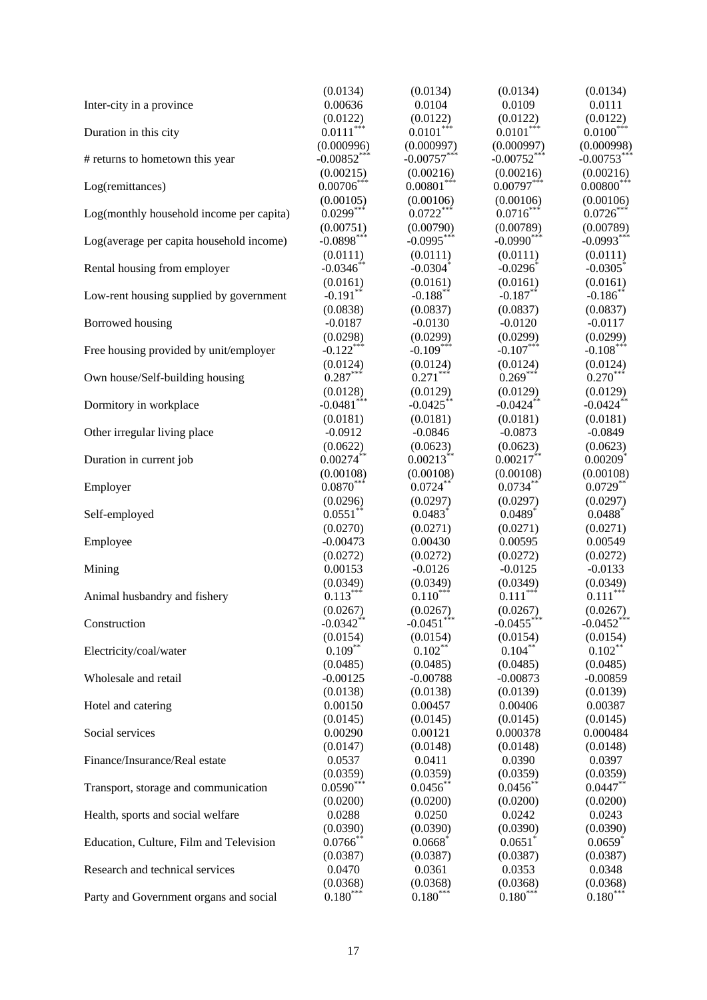|                                          | (0.0134)                 | (0.0134)                 | (0.0134)                 | (0.0134)                 |
|------------------------------------------|--------------------------|--------------------------|--------------------------|--------------------------|
| Inter-city in a province                 | 0.00636                  | 0.0104                   | 0.0109                   | 0.0111                   |
|                                          | (0.0122)                 | (0.0122)                 | (0.0122)                 | (0.0122)                 |
| Duration in this city                    | $0.0111***$              | $0.0101***$              | $0.0101***$              | $0.0100***$              |
|                                          | (0.000996)               | (0.000997)               | (0.000997)               | (0.000998)               |
| # returns to hometown this year          | $-0.00852***$            | $-0.00757***$            | $-0.00752***$            | $-0.00753***$            |
|                                          | (0.00215)                | (0.00216)                | (0.00216)                | (0.00216)                |
| Log(remittances)                         | $0.00706***$             | $0.00801***$             | $0.00797***$             | $0.00800$ <sup>***</sup> |
|                                          | (0.00105)                | (0.00106)                | (0.00106)                | (0.00106)                |
| Log(monthly household income per capita) | $0.0299***$              | $0.0722***$              | $0.0716***$              | $0.0726***$              |
|                                          | (0.00751)                | (0.00790)                | (0.00789)                | (0.00789)                |
| Log(average per capita household income) | $-0.0898***$             | $-0.0995***$             | $-0.0990***$             | $-0.0993***$             |
|                                          | (0.0111)                 | (0.0111)                 | (0.0111)                 | (0.0111)                 |
| Rental housing from employer             | $-0.0346$ **             | $-0.0304$ <sup>*</sup>   | $-0.0296$                | $-0.0305$ <sup>*</sup>   |
|                                          | (0.0161)                 | (0.0161)                 | (0.0161)                 | (0.0161)                 |
| Low-rent housing supplied by government  | $-0.191$ **              | $-0.188$ **              | $-0.187**$               | $-0.186$ **              |
|                                          | (0.0838)                 | (0.0837)                 | (0.0837)                 | (0.0837)                 |
| Borrowed housing                         | $-0.0187$                | $-0.0130$                | $-0.0120$                | $-0.0117$                |
|                                          | (0.0298)                 | (0.0299)                 | (0.0299)                 | (0.0299)                 |
| Free housing provided by unit/employer   | $-0.122***$              | $-0.109***$              | $-0.107***$              | $-0.108***$              |
|                                          |                          | (0.0124)                 |                          | (0.0124)                 |
| Own house/Self-building housing          | $(0.0124)$<br>$0.287***$ | $0.271***$               | $(0.0124)$<br>$0.269***$ | $0.270***$               |
|                                          | (0.0128)                 | (0.0129)                 | (0.0129)                 | (0.0129)                 |
| Dormitory in workplace                   | $-0.0481$ ***            | $-0.0425$ **             | $-0.0424$ **             | $-0.0424$ **             |
|                                          | (0.0181)                 | (0.0181)                 | (0.0181)                 | (0.0181)                 |
| Other irregular living place             | $-0.0912$                | $-0.0846$                | $-0.0873$                | $-0.0849$                |
|                                          |                          |                          |                          |                          |
|                                          | (0.0622)<br>$0.00274**$  | (0.0623)<br>$0.00213**$  | (0.0623)<br>$0.00217**$  | (0.0623)                 |
| Duration in current job                  |                          |                          |                          | $0.00209$ <sup>*</sup>   |
|                                          | (0.00108)<br>$0.0870***$ | (0.00108)<br>$0.0724***$ | (0.00108)<br>$0.0734***$ | (0.00108)                |
| Employer                                 |                          |                          |                          | $0.0729**$               |
|                                          | (0.0296)                 | (0.0297)                 | (0.0297)                 | (0.0297)                 |
| Self-employed                            | $0.0551***$              | $0.0483$ <sup>*</sup>    | $0.0489$ <sup>*</sup>    | $0.0488$ <sup>*</sup>    |
|                                          | (0.0270)                 | (0.0271)                 | (0.0271)                 | (0.0271)                 |
| Employee                                 | $-0.00473$               | 0.00430                  | 0.00595                  | 0.00549                  |
|                                          | (0.0272)                 | (0.0272)                 | (0.0272)                 | (0.0272)                 |
| Mining                                   | 0.00153                  | $-0.0126$                | $-0.0125$                | $-0.0133$                |
|                                          | (0.0349)                 | (0.0349)                 | (0.0349)                 | (0.0349)                 |
| Animal husbandry and fishery             | $0.113***$               | $0.110***$               | $0.111***$               | $0.111***$               |
|                                          | (0.0267)                 | (0.0267)                 | (0.0267)                 | (0.0267)                 |
| Construction                             | $-0.0342$ **             | $-0.0451$                | $-0.0455$                | $-0.0452$                |
|                                          | (0.0154)                 | (0.0154)                 | (0.0154)                 | (0.0154)                 |
| Electricity/coal/water                   | $0.109***$               | $0.102***$               | $0.104***$               | $0.102$ **               |
|                                          | (0.0485)                 | (0.0485)                 | (0.0485)                 | (0.0485)                 |
| Wholesale and retail                     | $-0.00125$               | $-0.00788$               | $-0.00873$               | $-0.00859$               |
|                                          | (0.0138)                 | (0.0138)                 | (0.0139)                 | (0.0139)                 |
| Hotel and catering                       | 0.00150                  | 0.00457                  | 0.00406                  | 0.00387                  |
|                                          | (0.0145)                 | (0.0145)                 | (0.0145)                 | (0.0145)                 |
| Social services                          | 0.00290                  | 0.00121                  | 0.000378                 | 0.000484                 |
|                                          | (0.0147)                 | (0.0148)                 | (0.0148)                 | (0.0148)                 |
| Finance/Insurance/Real estate            | 0.0537                   | 0.0411                   | 0.0390                   | 0.0397                   |
|                                          | (0.0359)                 | (0.0359)                 | (0.0359)                 | (0.0359)                 |
| Transport, storage and communication     | $0.0590***$              | $0.0456$ **              | $0.0456$ **              | $0.0447**$               |
|                                          | (0.0200)                 | (0.0200)                 | (0.0200)                 | (0.0200)                 |
| Health, sports and social welfare        | 0.0288                   | 0.0250                   | 0.0242                   | 0.0243                   |
|                                          | (0.0390)                 | (0.0390)                 | (0.0390)                 | (0.0390)                 |
| Education, Culture, Film and Television  | $0.0766$ **              | 0.0668                   | 0.0651                   | 0.0659                   |
|                                          | (0.0387)                 | (0.0387)                 | (0.0387)                 | (0.0387)                 |
| Research and technical services          | 0.0470                   | 0.0361                   | 0.0353                   | 0.0348                   |
|                                          | (0.0368)                 | (0.0368)                 | (0.0368)                 | (0.0368)                 |
| Party and Government organs and social   | $0.180^{***}$            | $0.180***$               | $0.180***$               | $0.180***$               |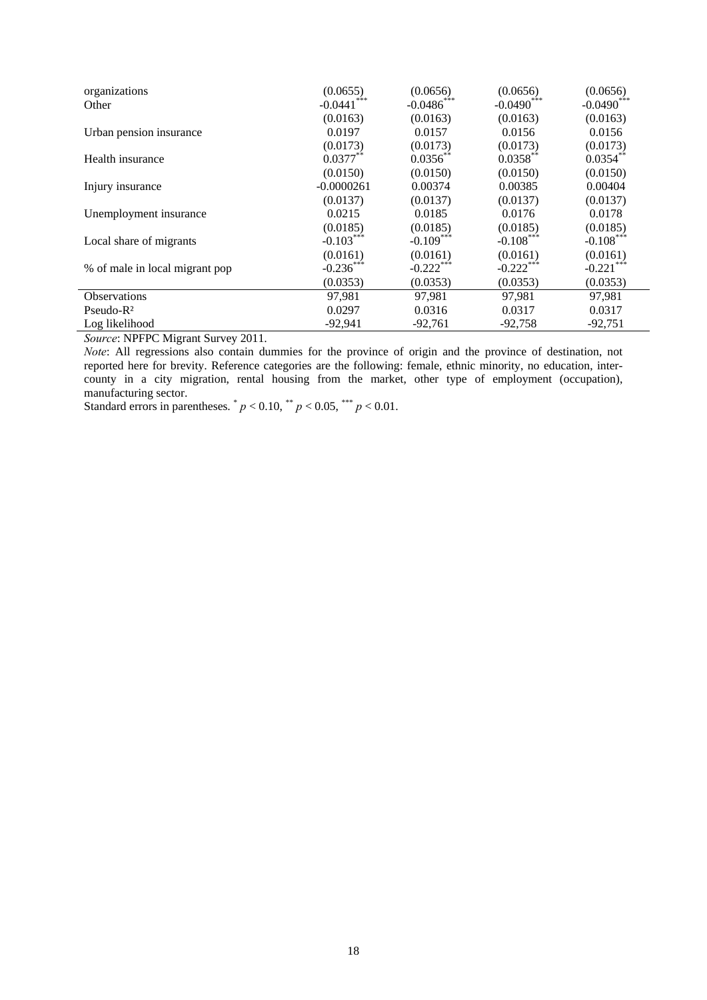| organizations                  | (0.0655)      | (0.0656)                 | (0.0656)      | (0.0656)      |
|--------------------------------|---------------|--------------------------|---------------|---------------|
| Other                          | $-0.0441$ *** | $-0.0486$ <sup>***</sup> | $-0.0490$ *** | $-0.0490$ *** |
|                                | (0.0163)      | (0.0163)                 | (0.0163)      | (0.0163)      |
| Urban pension insurance        | 0.0197        | 0.0157                   | 0.0156        | 0.0156        |
|                                | (0.0173)      | (0.0173)                 | (0.0173)      | (0.0173)      |
| Health insurance               | $0.0377**$    | $0.0356**$               | $0.0358***$   | $0.0354$ **   |
|                                | (0.0150)      | (0.0150)                 | (0.0150)      | (0.0150)      |
| Injury insurance               | $-0.0000261$  | 0.00374                  | 0.00385       | 0.00404       |
|                                | (0.0137)      | (0.0137)                 | (0.0137)      | (0.0137)      |
| Unemployment insurance         | 0.0215        | 0.0185                   | 0.0176        | 0.0178        |
|                                | (0.0185)      | (0.0185)                 | (0.0185)      | (0.0185)      |
| Local share of migrants        | $-0.103***$   | $-0.109***$              | $-0.108***$   | $-0.108***$   |
|                                | (0.0161)      | (0.0161)                 | (0.0161)      | (0.0161)      |
| % of male in local migrant pop | $-0.236***$   | $-0.222$ ***             | $-0.222$ ***  | $-0.221***$   |
|                                | (0.0353)      | (0.0353)                 | (0.0353)      | (0.0353)      |
| Observations                   | 97,981        | 97.981                   | 97.981        | 97,981        |
| $Pseudo-R2$                    | 0.0297        | 0.0316                   | 0.0317        | 0.0317        |
| Log likelihood                 | $-92,941$     | $-92,761$                | $-92,758$     | $-92,751$     |

*Source*: NPFPC Migrant Survey 2011.

*Note*: All regressions also contain dummies for the province of origin and the province of destination, not reported here for brevity. Reference categories are the following: female, ethnic minority, no education, intercounty in a city migration, rental housing from the market, other type of employment (occupation), manufacturing sector.

Standard errors in parentheses.  $p < 0.10$ ,  $p < 0.05$ ,  $p < 0.01$ .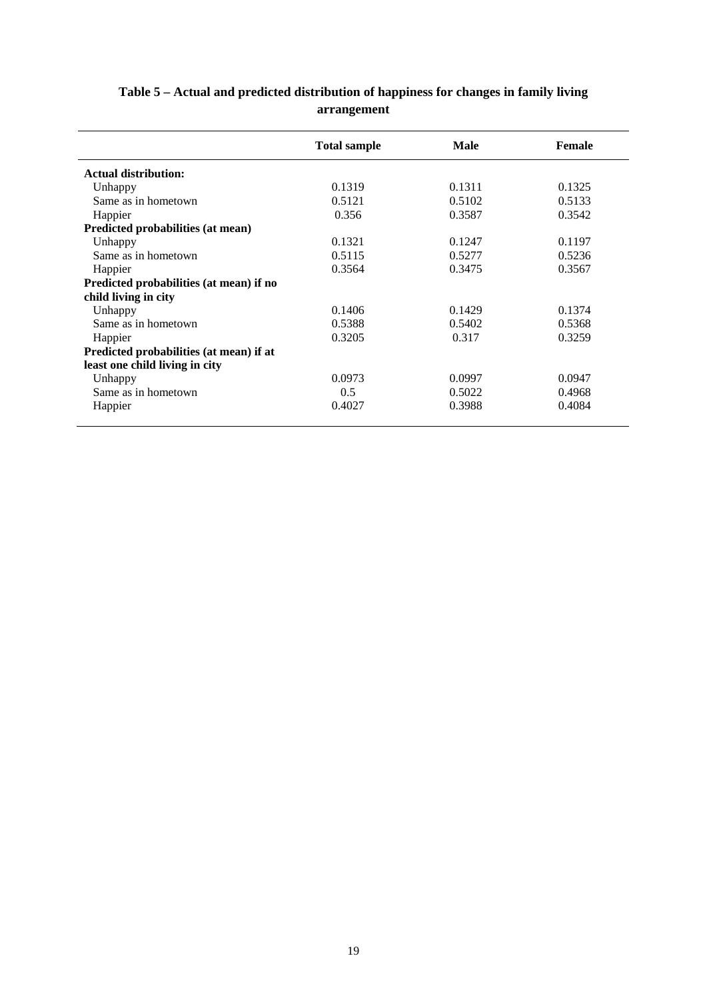|                                         | <b>Total sample</b> | <b>Male</b> | <b>Female</b> |
|-----------------------------------------|---------------------|-------------|---------------|
| <b>Actual distribution:</b>             |                     |             |               |
| Unhappy                                 | 0.1319              | 0.1311      | 0.1325        |
| Same as in hometown                     | 0.5121              | 0.5102      | 0.5133        |
| Happier                                 | 0.356               | 0.3587      | 0.3542        |
| Predicted probabilities (at mean)       |                     |             |               |
| Unhappy                                 | 0.1321              | 0.1247      | 0.1197        |
| Same as in hometown                     | 0.5115              | 0.5277      | 0.5236        |
| Happier                                 | 0.3564              | 0.3475      | 0.3567        |
| Predicted probabilities (at mean) if no |                     |             |               |
| child living in city                    |                     |             |               |
| Unhappy                                 | 0.1406              | 0.1429      | 0.1374        |
| Same as in hometown                     | 0.5388              | 0.5402      | 0.5368        |
| Happier                                 | 0.3205              | 0.317       | 0.3259        |
| Predicted probabilities (at mean) if at |                     |             |               |
| least one child living in city          |                     |             |               |
| Unhappy                                 | 0.0973              | 0.0997      | 0.0947        |
| Same as in hometown                     | 0.5                 | 0.5022      | 0.4968        |
| Happier                                 | 0.4027              | 0.3988      | 0.4084        |

# **Table 5 – Actual and predicted distribution of happiness for changes in family living arrangement**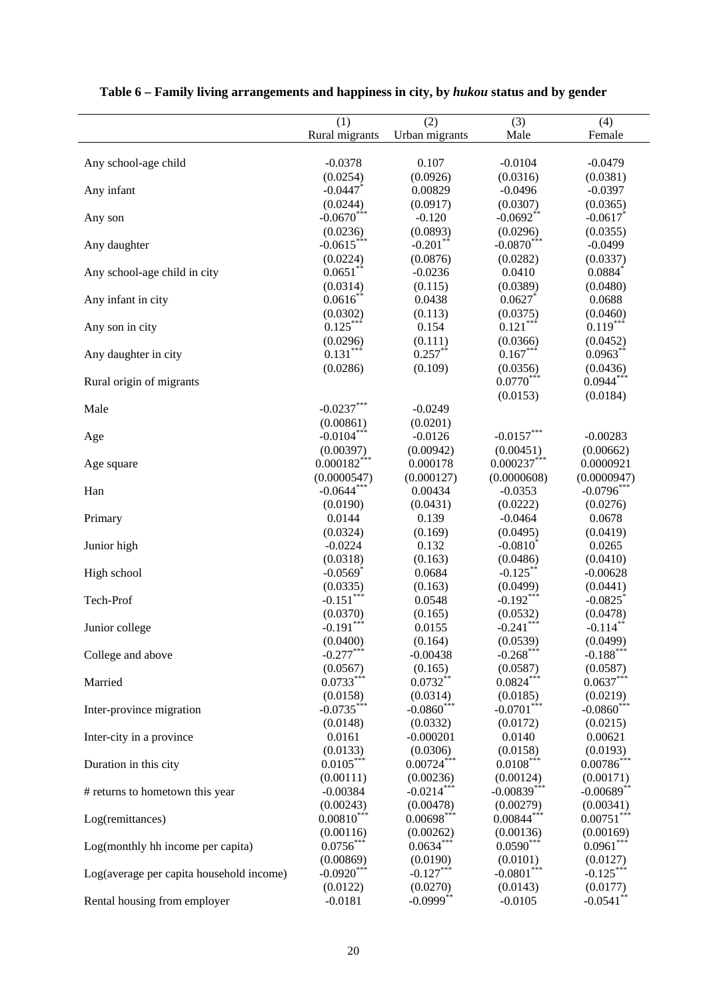|                                          | (1)                       | (2)                      | (3)                      | (4)                      |
|------------------------------------------|---------------------------|--------------------------|--------------------------|--------------------------|
|                                          | Rural migrants            | Urban migrants           | Male                     | Female                   |
| Any school-age child                     | $-0.0378$                 | 0.107                    | $-0.0104$                | $-0.0479$                |
|                                          | (0.0254)                  | (0.0926)                 | (0.0316)                 | (0.0381)                 |
| Any infant                               | $-0.0447$ *               | 0.00829                  | $-0.0496$                | $-0.0397$                |
|                                          | (0.0244)                  | (0.0917)                 | (0.0307)                 | (0.0365)                 |
| Any son                                  | $-0.0670$ ***             | $-0.120$                 | $-0.0692**$              | $-0.0617$                |
|                                          | (0.0236)                  | (0.0893)                 | (0.0296)                 | (0.0355)                 |
| Any daughter                             | $-0.0615***$              | $-0.201$ **              | $-0.0870***$             | $-0.0499$                |
|                                          | (0.0224)                  | (0.0876)                 | (0.0282)                 | (0.0337)                 |
| Any school-age child in city             | $0.0651***$               | $-0.0236$                | 0.0410                   | 0.0884                   |
|                                          | (0.0314)                  | (0.115)                  | (0.0389)                 | (0.0480)                 |
| Any infant in city                       | $0.0616$ *                | 0.0438                   | 0.0627                   | 0.0688                   |
|                                          | (0.0302)                  | (0.113)                  | (0.0375)                 | (0.0460)                 |
| Any son in city                          | $0.125***$                | 0.154                    | $0.121***$               | $0.119***$               |
|                                          | (0.0296)                  | (0.111)                  | (0.0366)                 | (0.0452)                 |
| Any daughter in city                     | $0.131***$                | $0.257***$               | $0.167***$               | $0.0963**$               |
|                                          | (0.0286)                  | (0.109)                  | (0.0356)                 | (0.0436)                 |
| Rural origin of migrants                 |                           |                          | $0.0770***$              | $0.0944***$              |
|                                          |                           |                          |                          |                          |
|                                          |                           |                          | (0.0153)                 | (0.0184)                 |
| Male                                     | $-0.0237***$              | $-0.0249$                |                          |                          |
|                                          | (0.00861)                 | (0.0201)                 |                          |                          |
| Age                                      | $-0.0104***$              | $-0.0126$                | $-0.0157***$             | $-0.00283$               |
|                                          | (0.00397)                 | (0.00942)                | (0.00451)                | (0.00662)                |
| Age square                               | $0.000182$ <sup>***</sup> | 0.000178                 | $0.000237$ ***           | 0.0000921                |
|                                          | (0.0000547)               | (0.000127)               | (0.0000608)              | (0.0000947)              |
| Han                                      | $-0.0644$ **              | 0.00434                  | $-0.0353$                | $-0.0796$ *              |
|                                          | (0.0190)                  | (0.0431)                 | (0.0222)                 | (0.0276)                 |
| Primary                                  | 0.0144                    | 0.139                    | $-0.0464$                | 0.0678                   |
|                                          | (0.0324)                  | (0.169)                  | (0.0495)                 | (0.0419)                 |
| Junior high                              | $-0.0224$                 | 0.132                    | $-0.0810^*$              | 0.0265                   |
|                                          | (0.0318)                  | (0.163)                  | (0.0486)                 | (0.0410)                 |
| High school                              | $-0.0569$ <sup>*</sup>    | 0.0684                   | $-0.125$ **              | $-0.00628$               |
|                                          | (0.0335)                  | (0.163)                  | (0.0499)                 | (0.0441)                 |
| Tech-Prof                                | $-0.151***$               | 0.0548                   | $-0.192***$              | $-0.0825$                |
|                                          | (0.0370)                  | (0.165)                  | (0.0532)                 | (0.0478)                 |
| Junior college                           | $-0.191***$               | 0.0155                   | $-0.241***$              | $-0.114$ <sup>*</sup>    |
|                                          | (0.0400)                  | (0.164)                  | (0.0539)                 | (0.0499)                 |
| College and above                        | $-0.277***$               | $-0.00438$               | $-0.268***$              | $-0.188***$              |
|                                          | (0.0567)                  | (0.165)                  | (0.0587)                 | (0.0587)                 |
| Married                                  | $0.0733***$               | $0.0732**$               | $0.0824***$              | $0.0637***$              |
|                                          | (0.0158)                  | (0.0314)                 | (0.0185)                 | (0.0219)                 |
| Inter-province migration                 | $-0.0735***$              | $-0.0860$ ***            | $-0.0701***$             | $-0.0860$ ***            |
|                                          | (0.0148)                  | (0.0332)                 | (0.0172)                 | (0.0215)                 |
| Inter-city in a province                 | 0.0161                    | $-0.000201$              | 0.0140                   | 0.00621                  |
|                                          | (0.0133)                  | (0.0306)                 | (0.0158)                 | (0.0193)                 |
| Duration in this city                    | $0.0105***$               | $0.00724$ <sup>***</sup> | $0.0108***$              | $0.00786$ ***            |
|                                          | (0.00111)                 | (0.00236)                | (0.00124)                | (0.00171)                |
| # returns to hometown this year          | $-0.00384$                | $-0.0214***$             | $-0.00839***$            | $-0.00689$ **            |
|                                          | (0.00243)                 | (0.00478)                | (0.00279)                | (0.00341)                |
|                                          | $0.00810***$              | $0.00698***$             | $0.00844***$             | $0.00751***$             |
| Log(remittances)                         |                           |                          |                          |                          |
|                                          | (0.00116)                 | (0.00262)<br>$0.0634***$ | (0.00136)<br>$0.0590***$ | (0.00169)<br>$0.0961***$ |
| Log(monthly hh income per capita)        | $0.0756***$               |                          |                          |                          |
|                                          | (0.00869)                 | (0.0190)                 | (0.0101)                 | (0.0127)                 |
| Log(average per capita household income) | $-0.0920***$              | $-0.127***$              | $-0.0801$ ***            | $-0.125***$              |
|                                          | (0.0122)                  | (0.0270)                 | (0.0143)                 | (0.0177)                 |
| Rental housing from employer             | $-0.0181$                 | $-0.0999$ **             | $-0.0105$                | $-0.0541$ **             |

# **Table 6 – Family living arrangements and happiness in city, by** *hukou* **status and by gender**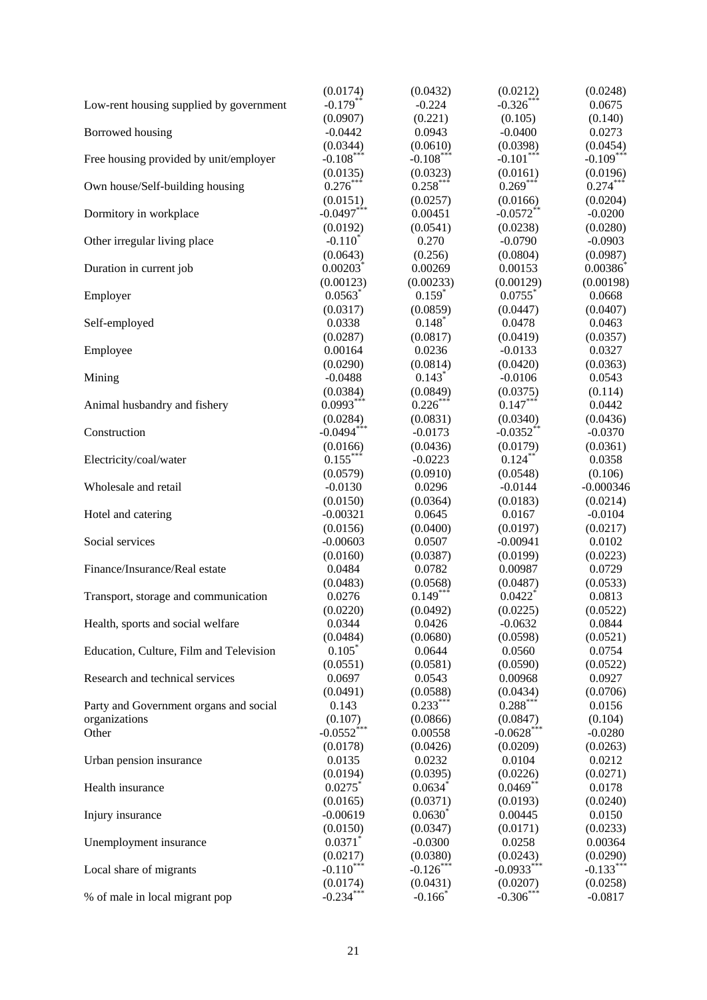|                                         | (0.0174)                 | (0.0432)                          | (0.0212)              | (0.0248)    |
|-----------------------------------------|--------------------------|-----------------------------------|-----------------------|-------------|
| Low-rent housing supplied by government | $-0.179**$               | $-0.224$                          | $-0.326***$           | 0.0675      |
|                                         | (0.0907)                 | (0.221)                           | (0.105)               | (0.140)     |
| Borrowed housing                        | $-0.0442$                | 0.0943                            | $-0.0400$             | 0.0273      |
|                                         | (0.0344)                 | (0.0610)                          | (0.0398)              | (0.0454)    |
| Free housing provided by unit/employer  | $-0.108***$              | $-0.108***$                       | $-0.101***$           | $-0.109***$ |
|                                         | (0.0135)                 | (0.0323)                          | (0.0161)              | (0.0196)    |
| Own house/Self-building housing         | $0.276***$               | $0.258***$                        | $0.269***$            | $0.274***$  |
|                                         | (0.0151)                 | (0.0257)                          | (0.0166)              | (0.0204)    |
| Dormitory in workplace                  | $-0.0497***$             | 0.00451                           | $-0.0572**$           | $-0.0200$   |
|                                         | (0.0192)                 | (0.0541)                          | (0.0238)              | (0.0280)    |
| Other irregular living place            | $-0.110^*$               | 0.270                             | $-0.0790$             | $-0.0903$   |
|                                         | (0.0643)                 | (0.256)                           | (0.0804)              | (0.0987)    |
| Duration in current job                 | $0.00203$ <sup>*</sup>   | 0.00269                           | 0.00153               | 0.00386     |
|                                         | (0.00123)                | (0.00233)                         | (0.00129)             | (0.00198)   |
| Employer                                | 0.0563                   | $0.159*$                          | $0.0755$ <sup>*</sup> | 0.0668      |
|                                         | (0.0317)                 | (0.0859)                          | (0.0447)              | (0.0407)    |
| Self-employed                           | 0.0338                   | $0.148*$                          | 0.0478                | 0.0463      |
|                                         | (0.0287)                 | (0.0817)                          | (0.0419)              | (0.0357)    |
| Employee                                | 0.00164                  | 0.0236                            | $-0.0133$             | 0.0327      |
|                                         | (0.0290)                 | (0.0814)                          | (0.0420)              | (0.0363)    |
| Mining                                  | $-0.0488$                | $0.143*$                          | $-0.0106$             | 0.0543      |
|                                         | (0.0384)                 | (0.0849)                          | (0.0375)              | (0.114)     |
| Animal husbandry and fishery            | $0.0993***$              | $0.226***$                        | $0.147***$            | 0.0442      |
|                                         | (0.0284)                 | (0.0831)                          | (0.0340)              | (0.0436)    |
| Construction                            | $-0.0494***$             | $-0.0173$                         | $-0.0352$ **          | $-0.0370$   |
|                                         | (0.0166)                 | (0.0436)                          | (0.0179)              | (0.0361)    |
| Electricity/coal/water                  | $0.155***$               | $-0.0223$                         | $0.124***$            | 0.0358      |
|                                         | (0.0579)                 | (0.0910)                          | (0.0548)              | (0.106)     |
| Wholesale and retail                    | $-0.0130$                | 0.0296                            | $-0.0144$             | $-0.000346$ |
|                                         | (0.0150)                 | (0.0364)                          | (0.0183)              | (0.0214)    |
| Hotel and catering                      | $-0.00321$               | 0.0645                            | 0.0167                | $-0.0104$   |
|                                         | (0.0156)                 | (0.0400)                          | (0.0197)              | (0.0217)    |
| Social services                         | $-0.00603$               | 0.0507                            | $-0.00941$            | 0.0102      |
|                                         | (0.0160)                 | (0.0387)                          | (0.0199)              | (0.0223)    |
| Finance/Insurance/Real estate           | 0.0484                   | 0.0782                            | 0.00987               | 0.0729      |
|                                         | (0.0483)                 | (0.0568)                          | (0.0487)              | (0.0533)    |
| Transport, storage and communication    | 0.0276                   | $0.149***$                        | $0.0422$ <sup>*</sup> | 0.0813      |
|                                         | (0.0220)                 | (0.0492)                          | (0.0225)              | (0.0522)    |
| Health, sports and social welfare       | 0.0344                   | 0.0426                            | $-0.0632$             | 0.0844      |
|                                         | (0.0484)                 | (0.0680)                          | (0.0598)              | (0.0521)    |
| Education, Culture, Film and Television | $0.105*$                 | 0.0644                            | 0.0560                | 0.0754      |
|                                         | (0.0551)                 | (0.0581)                          | (0.0590)              | (0.0522)    |
| Research and technical services         | 0.0697                   | 0.0543                            | 0.00968               | 0.0927      |
|                                         | (0.0491)                 | (0.0588)                          | (0.0434)              | (0.0706)    |
| Party and Government organs and social  | 0.143                    | $0.233***$                        | $0.288***$            | 0.0156      |
| organizations                           | (0.107)                  | (0.0866)                          | (0.0847)              | (0.104)     |
| Other                                   | $-0.0552$ <sup>***</sup> | 0.00558                           | $-0.0628$ ***         | $-0.0280$   |
|                                         | (0.0178)                 | (0.0426)                          | (0.0209)              | (0.0263)    |
| Urban pension insurance                 | 0.0135                   | 0.0232                            | 0.0104                | 0.0212      |
|                                         | (0.0194)                 | (0.0395)                          | (0.0226)              | (0.0271)    |
| Health insurance                        | 0.0275                   | 0.0634                            | $0.0469**$            | 0.0178      |
|                                         | (0.0165)                 | (0.0371)                          | (0.0193)              | (0.0240)    |
| Injury insurance                        | $-0.00619$               | $0.0630^{*}$                      | 0.00445               | 0.0150      |
|                                         | (0.0150)                 | (0.0347)                          | (0.0171)              | (0.0233)    |
|                                         | 0.0371                   | $-0.0300$                         | 0.0258                | 0.00364     |
| Unemployment insurance                  | (0.0217)                 | (0.0380)                          | (0.0243)              | (0.0290)    |
|                                         | $-0.110***$              | $-0.126***$                       | $-0.0933***$          | $-0.133***$ |
| Local share of migrants                 |                          |                                   |                       |             |
|                                         | (0.0174)<br>$-0.234$ *   | (0.0431)<br>$-0.166$ <sup>*</sup> | (0.0207)<br>$-0.306*$ | (0.0258)    |
| % of male in local migrant pop          |                          |                                   |                       | $-0.0817$   |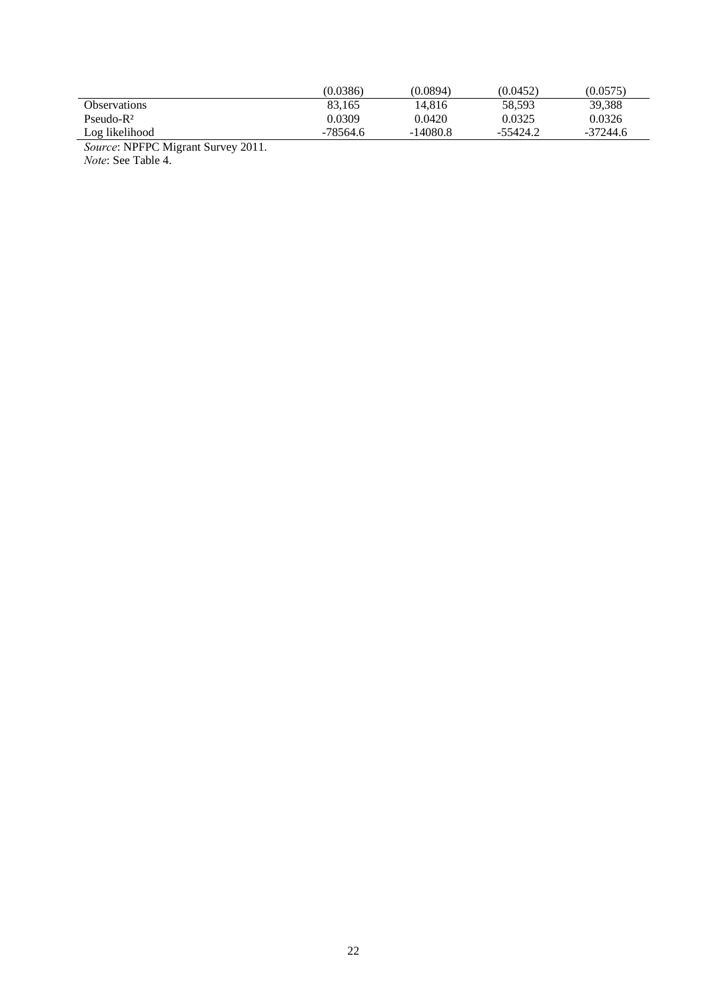|                                                            | (0.0386) | (0.0894)   | (0.0452) | (0.0575)   |
|------------------------------------------------------------|----------|------------|----------|------------|
| <b>Observations</b>                                        | 83.165   | 14.816     | 58,593   | 39,388     |
| $Pseudo-R2$                                                | 0.0309   | 0.0420     | 0.0325   | 0.0326     |
| Log likelihood                                             | -78564.6 | $-14080.8$ | -55424.2 | $-37244.6$ |
| <b><i><u>Property</u></i></b><br>$\sim$<br>----<br>------- |          |            |          |            |

*Source*: NPFPC Migrant Survey 2011. *Note*: See Table 4.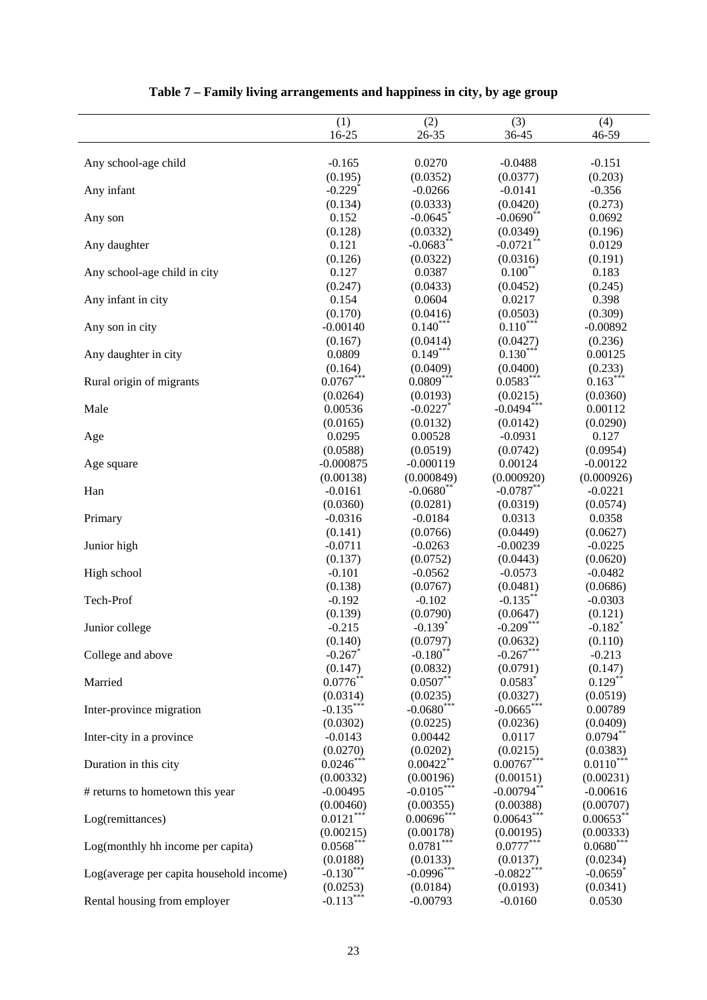|                                          | (1)<br>16-25          | (2)                                | (3)                      | (4)<br>46-59           |
|------------------------------------------|-----------------------|------------------------------------|--------------------------|------------------------|
|                                          |                       | 26-35                              | 36-45                    |                        |
| Any school-age child                     | $-0.165$              | 0.0270                             | $-0.0488$                | $-0.151$               |
|                                          | (0.195)               | (0.0352)                           | (0.0377)                 | (0.203)                |
| Any infant                               | $-0.229$ <sup>*</sup> | $-0.0266$                          | $-0.0141$                | $-0.356$               |
|                                          | (0.134)               | (0.0333)                           | (0.0420)                 | (0.273)                |
| Any son                                  | 0.152                 | $-0.0645$                          | $-0.0690$ <sup>**</sup>  | 0.0692                 |
|                                          | (0.128)               | (0.0332)                           | (0.0349)                 | (0.196)                |
| Any daughter                             | 0.121                 | $-0.0683**$                        | $-0.0721$ **             | 0.0129                 |
|                                          | (0.126)               | (0.0322)                           | (0.0316)                 | (0.191)                |
| Any school-age child in city             | 0.127                 | 0.0387                             | $0.100***$               | 0.183                  |
|                                          | (0.247)               | (0.0433)                           | (0.0452)                 | (0.245)                |
| Any infant in city                       | 0.154                 | 0.0604                             | 0.0217                   | 0.398                  |
|                                          | (0.170)               | (0.0416)                           | (0.0503)                 | (0.309)                |
| Any son in city                          | $-0.00140$            | $0.140***$                         | $0.110***$               | $-0.00892$             |
|                                          | (0.167)               | (0.0414)                           | (0.0427)                 | (0.236)                |
| Any daughter in city                     | 0.0809                | $0.149***$                         | $0.130***$               | 0.00125                |
|                                          | (0.164)               | (0.0409)                           | (0.0400)                 | (0.233)                |
| Rural origin of migrants                 | $0.0767***$           | $0.0809***$                        | $0.0583***$              | $0.163***$             |
|                                          | (0.0264)              | (0.0193)                           | (0.0215)                 | (0.0360)               |
| Male                                     | 0.00536               | $-0.0227$                          | $-0.0494***$             | 0.00112                |
|                                          | (0.0165)              | (0.0132)                           | (0.0142)                 | (0.0290)               |
| Age                                      | 0.0295                | 0.00528                            | $-0.0931$                | 0.127                  |
|                                          | (0.0588)              | (0.0519)                           | (0.0742)                 | (0.0954)               |
| Age square                               | $-0.000875$           | $-0.000119$                        | 0.00124                  | $-0.00122$             |
|                                          | (0.00138)             | (0.000849)                         | (0.000920)               | (0.000926)             |
| Han                                      | $-0.0161$             | $-0.0680$ **                       | $-0.0787**$              | $-0.0221$              |
|                                          | (0.0360)              | (0.0281)                           | (0.0319)                 | (0.0574)               |
| Primary                                  | $-0.0316$             | $-0.0184$                          | 0.0313                   | 0.0358                 |
|                                          | (0.141)               | (0.0766)                           | (0.0449)                 | (0.0627)               |
| Junior high                              | $-0.0711$             | $-0.0263$                          | $-0.00239$               | $-0.0225$              |
|                                          | (0.137)               | (0.0752)                           | (0.0443)                 | (0.0620)               |
| High school                              | $-0.101$              | $-0.0562$                          | $-0.0573$                | $-0.0482$              |
|                                          | (0.138)               | (0.0767)                           | (0.0481)                 | (0.0686)               |
| Tech-Prof                                | $-0.192$              | $-0.102$                           | $-0.135$ **              | $-0.0303$              |
|                                          | (0.139)               | (0.0790)<br>$-0.139$ <sup>*</sup>  | (0.0647)<br>$-0.209$ *** | (0.121)                |
| Junior college                           | $-0.215$<br>(0.140)   |                                    |                          | $-0.182$ <sup>*</sup>  |
| College and above                        | $-0.267$              | (0.0797)<br>$-0.180$ <sup>**</sup> | (0.0632)<br>$-0.267***$  | (0.110)<br>$-0.213$    |
|                                          | (0.147)               | (0.0832)                           | (0.0791)                 | (0.147)                |
| Married                                  | $0.0776**$            | $0.0507**$                         | $0.0583*$                | $0.129***$             |
|                                          | (0.0314)              | (0.0235)                           | (0.0327)                 | (0.0519)               |
| Inter-province migration                 | $-0.135***$           | $-0.0680$ <sup>***</sup>           | $-0.0665$ ***            | 0.00789                |
|                                          | (0.0302)              | (0.0225)                           | (0.0236)                 | (0.0409)               |
| Inter-city in a province                 | $-0.0143$             | 0.00442                            | 0.0117                   | $0.0794**$             |
|                                          | (0.0270)              | (0.0202)                           | (0.0215)                 | (0.0383)               |
| Duration in this city                    | $0.0246***$           | $0.00422$ <sup>**</sup>            | $0.00767***$             | $0.0110***$            |
|                                          | (0.00332)             | (0.00196)                          | (0.00151)                | (0.00231)              |
| # returns to hometown this year          | $-0.00495$            | $-0.0105***$                       | $-0.00794**$             | $-0.00616$             |
|                                          | (0.00460)             | (0.00355)                          | (0.00388)                | (0.00707)              |
| Log(remittances)                         | $0.0121***$           | $0.00696***$                       | $0.00643***$             | $0.00653**$            |
|                                          | (0.00215)             | (0.00178)                          | (0.00195)                | (0.00333)              |
| Log(monthly hh income per capita)        | $0.0568***$           | $0.0781***$                        | $0.0777***$              | $0.0680***$            |
|                                          | (0.0188)              | (0.0133)                           | (0.0137)                 | (0.0234)               |
| Log(average per capita household income) | $-0.130***$           | $-0.0996***$                       | $-0.0822$ <sup>***</sup> | $-0.0659$ <sup>*</sup> |
|                                          | (0.0253)              | (0.0184)                           | (0.0193)                 | (0.0341)               |
| Rental housing from employer             | $-0.113***$           | $-0.00793$                         | $-0.0160$                | 0.0530                 |

# **Table 7 – Family living arrangements and happiness in city, by age group**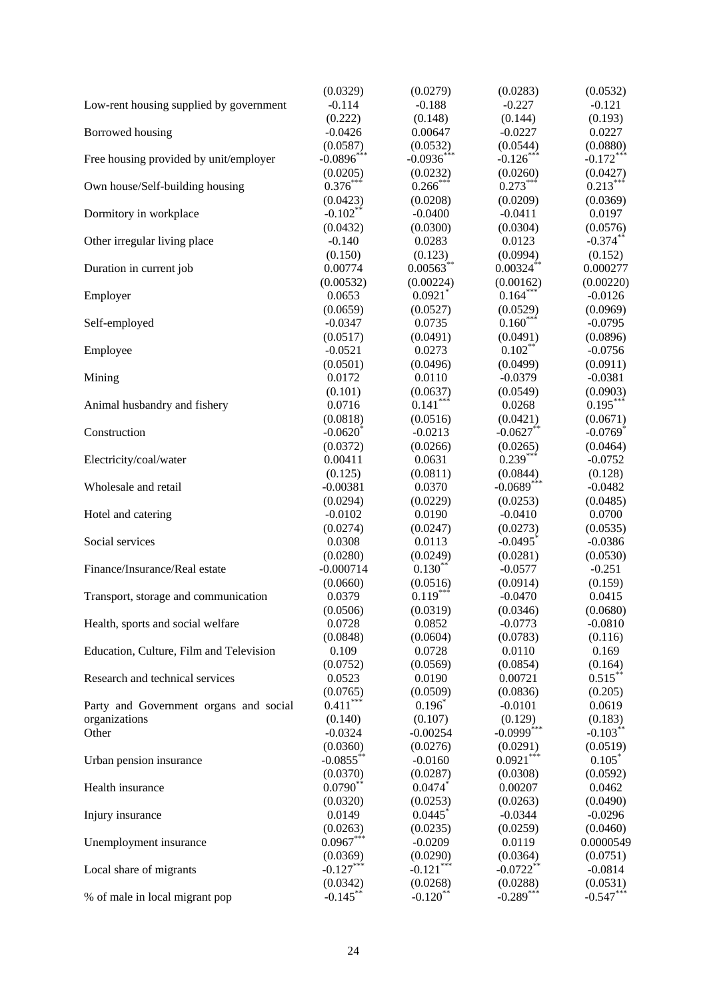|                                         | (0.0329)               | (0.0279)              | (0.0283)                 | (0.0532)               |
|-----------------------------------------|------------------------|-----------------------|--------------------------|------------------------|
| Low-rent housing supplied by government | $-0.114$               | $-0.188$              | $-0.227$                 | $-0.121$               |
|                                         | (0.222)                | (0.148)               | (0.144)                  | (0.193)                |
| Borrowed housing                        | $-0.0426$              | 0.00647               | $-0.0227$                | 0.0227                 |
|                                         | (0.0587)               | (0.0532)              | (0.0544)                 | (0.0880)               |
| Free housing provided by unit/employer  | $-0.0896$ ***          | $-0.0936***$          | $-0.126***$              | $-0.172***$            |
|                                         | (0.0205)               | (0.0232)              | (0.0260)                 | (0.0427)               |
| Own house/Self-building housing         | $0.376***$             | $0.266$ **            | $0.273***$               | $0.213***$             |
|                                         | (0.0423)               | (0.0208)              | (0.0209)                 | (0.0369)               |
| Dormitory in workplace                  | $-0.102**$             | $-0.0400$             | $-0.0411$                | 0.0197                 |
|                                         | (0.0432)               | (0.0300)              | (0.0304)                 | (0.0576)               |
| Other irregular living place            | $-0.140$               | 0.0283                | 0.0123                   | $-0.374***$            |
|                                         | (0.150)                | (0.123)               | (0.0994)                 | (0.152)                |
| Duration in current job                 | 0.00774                | $0.00563***$          | $0.00324***$             | 0.000277               |
|                                         | (0.00532)              | (0.00224)             | (0.00162)                | (0.00220)              |
| Employer                                | 0.0653                 | $0.0921$ *            | $0.164***$               | $-0.0126$              |
|                                         | (0.0659)               | (0.0527)              | (0.0529)                 | (0.0969)               |
| Self-employed                           | $-0.0347$              | 0.0735                | $0.160***$               | $-0.0795$              |
|                                         | (0.0517)               | (0.0491)              | (0.0491)                 | (0.0896)               |
| Employee                                | $-0.0521$              | 0.0273                | $0.102**$                | $-0.0756$              |
|                                         | (0.0501)               | (0.0496)              | (0.0499)                 | (0.0911)               |
| Mining                                  | 0.0172                 | 0.0110                | $-0.0379$                | $-0.0381$              |
|                                         | (0.101)                | (0.0637)              | (0.0549)                 | (0.0903)               |
| Animal husbandry and fishery            | 0.0716                 | $0.141***$            | 0.0268                   | $0.195***$             |
|                                         | (0.0818)               | (0.0516)              | (0.0421)                 | (0.0671)               |
| Construction                            | $-0.0620$ <sup>*</sup> | $-0.0213$             | $-0.0627**$              | $-0.0769$ <sup>*</sup> |
|                                         | (0.0372)               | (0.0266)              | (0.0265)                 | (0.0464)               |
| Electricity/coal/water                  | 0.00411                | 0.0631                | $0.239***$               | $-0.0752$              |
|                                         | (0.125)                | (0.0811)              | (0.0844)                 | (0.128)                |
| Wholesale and retail                    | $-0.00381$             | 0.0370                | $-0.0689***$             | $-0.0482$              |
|                                         | (0.0294)               | (0.0229)              | (0.0253)                 | (0.0485)               |
| Hotel and catering                      | $-0.0102$              | 0.0190                | $-0.0410$                | 0.0700                 |
|                                         | (0.0274)               | (0.0247)              | (0.0273)                 | (0.0535)               |
| Social services                         | 0.0308                 | 0.0113                | $-0.0495$ <sup>*</sup>   | $-0.0386$              |
|                                         | (0.0280)               | (0.0249)              | (0.0281)                 | (0.0530)               |
| Finance/Insurance/Real estate           | $-0.000714$            | $0.130**$             | $-0.0577$                | $-0.251$               |
|                                         | (0.0660)               | (0.0516)              | (0.0914)                 | (0.159)                |
| Transport, storage and communication    | 0.0379                 | $0.119***$            | $-0.0470$                | 0.0415                 |
|                                         | (0.0506)               | (0.0319)              | (0.0346)                 | (0.0680)               |
| Health, sports and social welfare       | 0.0728                 | 0.0852                | $-0.0773$                | $-0.0810$              |
|                                         | (0.0848)               | (0.0604)              | (0.0783)                 | (0.116)                |
| Education, Culture, Film and Television | 0.109                  | 0.0728                | 0.0110                   | 0.169                  |
|                                         | (0.0752)               | (0.0569)              | (0.0854)                 | (0.164)                |
| Research and technical services         | 0.0523                 | 0.0190                | 0.00721                  | $0.515***$             |
|                                         | (0.0765)               | (0.0509)              | (0.0836)                 | (0.205)                |
| Party and Government organs and social  | $0.411***$             | $0.196*$              | $-0.0101$                | 0.0619                 |
| organizations                           | (0.140)                | (0.107)               | (0.129)                  | (0.183)                |
| Other                                   | $-0.0324$              | $-0.00254$            | $-0.0999$ <sup>***</sup> | $-0.103***$            |
|                                         | (0.0360)               | (0.0276)              | (0.0291)                 | (0.0519)               |
| Urban pension insurance                 | $-0.0855$ **           | $-0.0160$             | $0.0921***$              | $0.105*$               |
|                                         | (0.0370)               | (0.0287)              | (0.0308)                 | (0.0592)               |
| Health insurance                        | $0.0790**$             | 0.0474                | 0.00207                  | 0.0462                 |
|                                         | (0.0320)               | (0.0253)              | (0.0263)                 | (0.0490)               |
| Injury insurance                        | 0.0149                 | 0.0445                | $-0.0344$                | $-0.0296$              |
|                                         | (0.0263)               | (0.0235)              | (0.0259)                 | (0.0460)               |
| Unemployment insurance                  | $0.0967***$            | $-0.0209$             | 0.0119                   | 0.0000549              |
|                                         | (0.0369)               | (0.0290)              | (0.0364)                 | (0.0751)               |
| Local share of migrants                 | $-0.127***$            | $-0.121***$           | $-0.0722**$              | $-0.0814$              |
|                                         | (0.0342)               | (0.0268)              | (0.0288)                 | (0.0531)               |
| % of male in local migrant pop          | $-0.145$ **            | $-0.120$ <sup>*</sup> | $-0.289***$              | $-0.547***$            |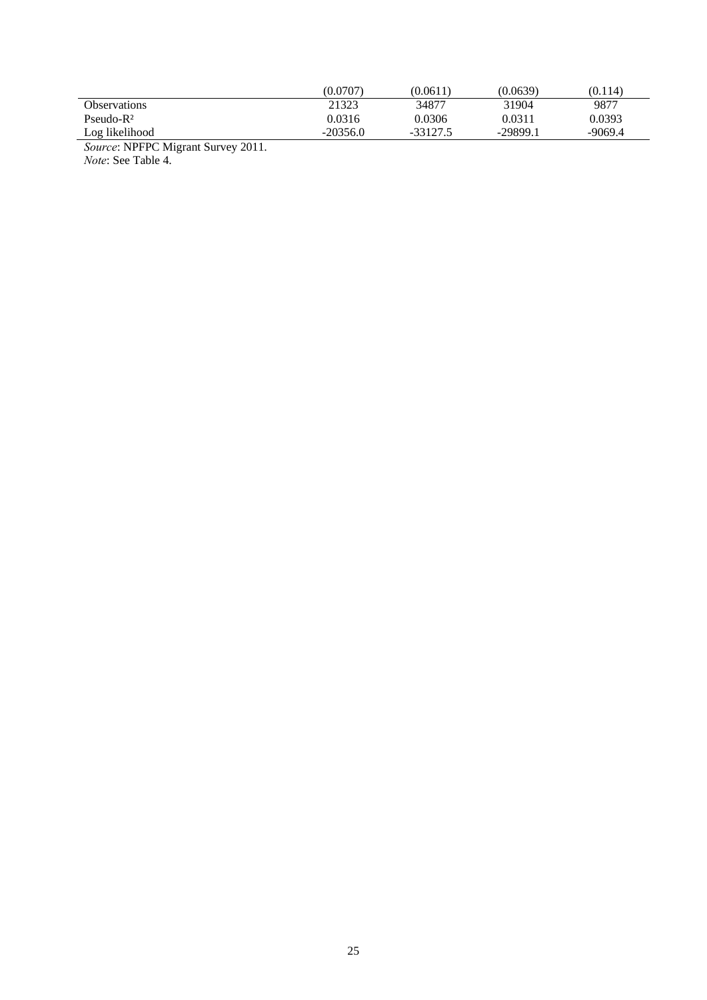|                                                         | (0.0707)   | (0.0611)   | (0.0639)   | (0.114) |
|---------------------------------------------------------|------------|------------|------------|---------|
| <b>Observations</b>                                     | 21323      | 34877      | 31904      | 9877    |
| $Pseudo-R2$                                             | 0.0316     | 0.0306     | 0.0311     | 0.0393  |
| Log likelihood                                          | $-20356.0$ | $-33127.5$ | $-29899.1$ | -9069.4 |
| $\sim$<br>----<br><b>A TELEVISION OF A ST</b><br>$\sim$ |            |            |            |         |

*Source*: NPFPC Migrant Survey 2011. *Note*: See Table 4.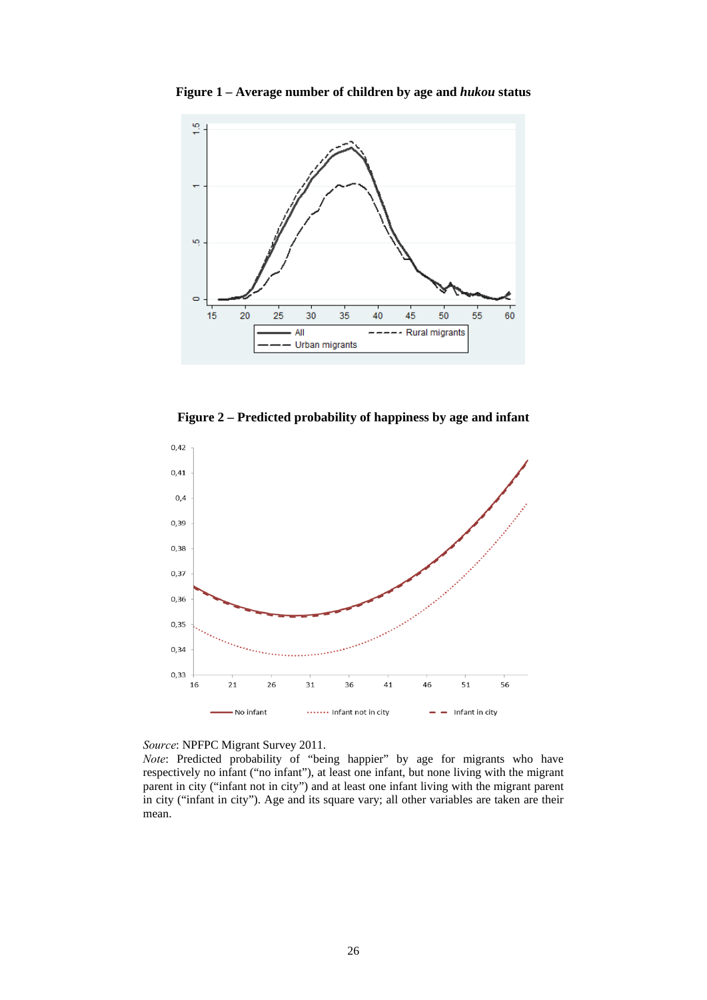

**Figure 1 – Average number of children by age and** *hukou* **status**

**Figure 2 – Predicted probability of happiness by age and infant**



*Source*: NPFPC Migrant Survey 2011.

*Note*: Predicted probability of "being happier" by age for migrants who have respectively no infant ("no infant"), at least one infant, but none living with the migrant parent in city ("infant not in city") and at least one infant living with the migrant parent in city ("infant in city"). Age and its square vary; all other variables are taken are their mean.